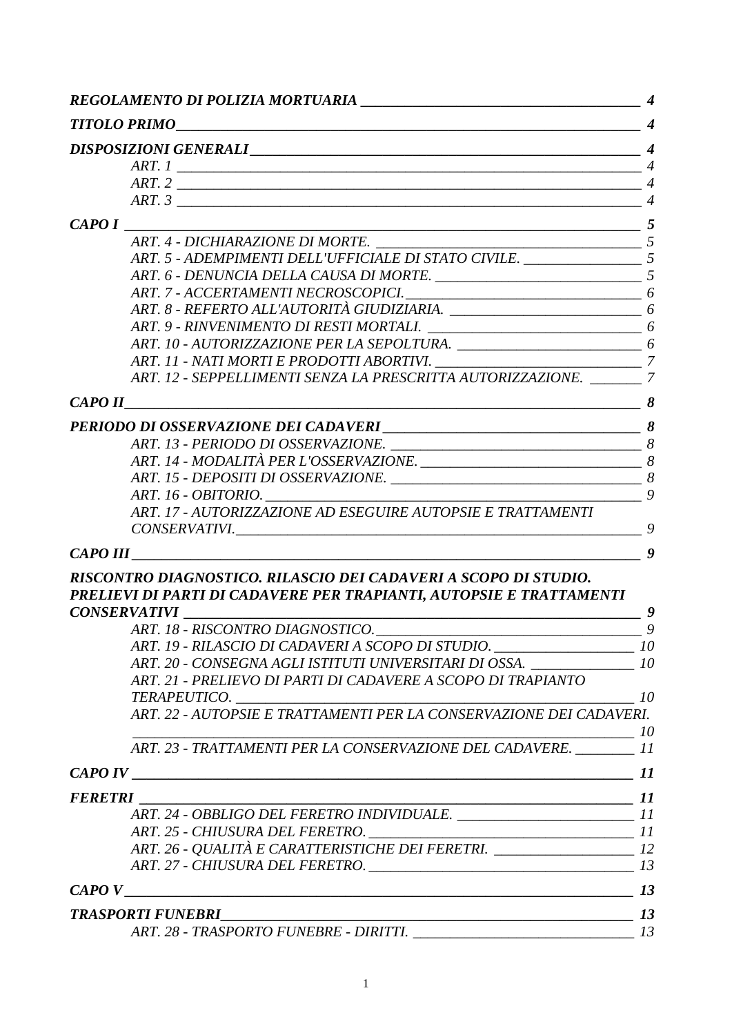| CAPOI   | $\overline{\phantom{a}}$ 5                                                          |                  |
|---------|-------------------------------------------------------------------------------------|------------------|
|         | ART. 4 - DICHIARAZIONE DI MORTE.                                                    |                  |
|         | ART. 5 - ADEMPIMENTI DELL'UFFICIALE DI STATO CIVILE. ________________________ 5     |                  |
|         |                                                                                     |                  |
|         |                                                                                     |                  |
|         |                                                                                     |                  |
|         |                                                                                     |                  |
|         | ART. 10 - AUTORIZZAZIONE PER LA SEPOLTURA. __________________________________6      |                  |
|         |                                                                                     |                  |
|         | ART. 12 - SEPPELLIMENTI SENZA LA PRESCRITTA AUTORIZZAZIONE. _______ 7               |                  |
|         |                                                                                     |                  |
|         |                                                                                     |                  |
|         |                                                                                     |                  |
|         |                                                                                     |                  |
|         |                                                                                     |                  |
|         |                                                                                     |                  |
|         | ART. 17 - AUTORIZZAZIONE AD ESEGUIRE AUTOPSIE E TRATTAMENTI                         |                  |
|         |                                                                                     |                  |
|         |                                                                                     | $\boldsymbol{g}$ |
|         | RISCONTRO DIAGNOSTICO. RILASCIO DEI CADAVERI A SCOPO DI STUDIO.                     |                  |
|         | PRELIEVI DI PARTI DI CADAVERE PER TRAPIANTI, AUTOPSIE E TRATTAMENTI                 |                  |
|         | <b>CONSERVATIVI</b><br>$\frac{1}{\sqrt{2}}$                                         |                  |
|         | ART. 18 - RISCONTRO DIAGNOSTICO.                                                    |                  |
|         |                                                                                     |                  |
|         | ART. 20 - CONSEGNA AGLI ISTITUTI UNIVERSITARI DI OSSA. _______________ 10           |                  |
|         | ART. 21 - PRELIEVO DI PARTI DI CADAVERE A SCOPO DI TRAPIANTO                        |                  |
|         | TERAPEUTICO.<br>ART. 22 - AUTOPSIE E TRATTAMENTI PER LA CONSERVAZIONE DEI CADAVERI. |                  |
|         |                                                                                     |                  |
|         | ART. 23 - TRATTAMENTI PER LA CONSERVAZIONE DEL CADAVERE. ________ 11                |                  |
|         |                                                                                     |                  |
| FERETRI |                                                                                     |                  |
|         |                                                                                     |                  |
|         |                                                                                     |                  |
|         |                                                                                     |                  |
|         |                                                                                     |                  |
|         |                                                                                     |                  |
|         |                                                                                     |                  |
|         |                                                                                     |                  |
|         |                                                                                     |                  |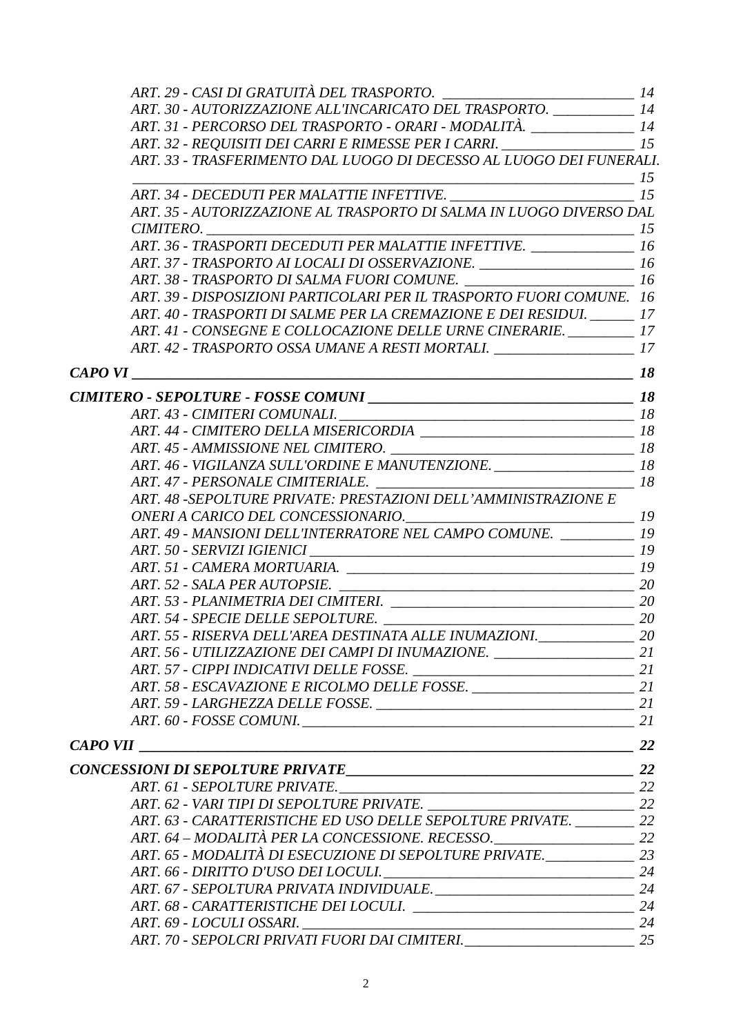| ART. 30 - AUTORIZZAZIONE ALL'INCARICATO DEL TRASPORTO. ____________ 14                                                                                                                                                                             |  |
|----------------------------------------------------------------------------------------------------------------------------------------------------------------------------------------------------------------------------------------------------|--|
| ART. 31 - PERCORSO DEL TRASPORTO - ORARI - MODALITÀ. ________________ 14                                                                                                                                                                           |  |
| ART. 32 - REQUISITI DEI CARRI E RIMESSE PER I CARRI. ____________________ 15                                                                                                                                                                       |  |
| ART. 33 - TRASFERIMENTO DAL LUOGO DI DECESSO AL LUOGO DEI FUNERALI.                                                                                                                                                                                |  |
|                                                                                                                                                                                                                                                    |  |
| ART. 35 - AUTORIZZAZIONE AL TRASPORTO DI SALMA IN LUOGO DIVERSO DAL                                                                                                                                                                                |  |
|                                                                                                                                                                                                                                                    |  |
| ART. 36 - TRASPORTI DECEDUTI PER MALATTIE INFETTIVE. ________________ 16                                                                                                                                                                           |  |
| ART. 37 - TRASPORTO AI LOCALI DI OSSERVAZIONE. _________________________ 16                                                                                                                                                                        |  |
| ART. 38 - TRASPORTO DI SALMA FUORI COMUNE. ____________________________ 16                                                                                                                                                                         |  |
| ART. 39 - DISPOSIZIONI PARTICOLARI PER IL TRASPORTO FUORI COMUNE. 16                                                                                                                                                                               |  |
| ART. 40 - TRASPORTI DI SALME PER LA CREMAZIONE E DEI RESIDUI. ______ 17                                                                                                                                                                            |  |
| ART. 41 - CONSEGNE E COLLOCAZIONE DELLE URNE CINERARIE. _________ 17                                                                                                                                                                               |  |
| ART. 42 - TRASPORTO OSSA UMANE A RESTI MORTALI. _______________________ 17                                                                                                                                                                         |  |
| $\frac{18}{2}$<br>$CAPOVI$ and the contract of the contract of the contract of the contract of the contract of the contract of the contract of the contract of the contract of the contract of the contract of the contract of the contract of the |  |
|                                                                                                                                                                                                                                                    |  |
|                                                                                                                                                                                                                                                    |  |
| ART. 44 - CIMITERO DELLA MISERICORDIA ___________________________________ 18                                                                                                                                                                       |  |
|                                                                                                                                                                                                                                                    |  |
| ART. 46 - VIGILANZA SULL'ORDINE E MANUTENZIONE.                                                                                                                                                                                                    |  |
|                                                                                                                                                                                                                                                    |  |
| ART. 48 -SEPOLTURE PRIVATE: PRESTAZIONI DELL'AMMINISTRAZIONE E                                                                                                                                                                                     |  |
|                                                                                                                                                                                                                                                    |  |
| ART. 49 - MANSIONI DELL'INTERRATORE NEL CAMPO COMUNE. __________ 19                                                                                                                                                                                |  |
|                                                                                                                                                                                                                                                    |  |
|                                                                                                                                                                                                                                                    |  |
|                                                                                                                                                                                                                                                    |  |
|                                                                                                                                                                                                                                                    |  |
|                                                                                                                                                                                                                                                    |  |
| ART. 55 - RISERVA DELL'AREA DESTINATA ALLE INUMAZIONI.<br>20                                                                                                                                                                                       |  |
| ART. 56 - UTILIZZAZIONE DEI CAMPI DI INUMAZIONE. _________________________ 21                                                                                                                                                                      |  |
|                                                                                                                                                                                                                                                    |  |
|                                                                                                                                                                                                                                                    |  |
|                                                                                                                                                                                                                                                    |  |
|                                                                                                                                                                                                                                                    |  |
|                                                                                                                                                                                                                                                    |  |
|                                                                                                                                                                                                                                                    |  |
|                                                                                                                                                                                                                                                    |  |
|                                                                                                                                                                                                                                                    |  |
| ART. 63 - CARATTERISTICHE ED USO DELLE SEPOLTURE PRIVATE. _________ 22                                                                                                                                                                             |  |
|                                                                                                                                                                                                                                                    |  |
| ART. 65 - MODALITÀ DI ESECUZIONE DI SEPOLTURE PRIVATE. ____________________ 23                                                                                                                                                                     |  |
|                                                                                                                                                                                                                                                    |  |
|                                                                                                                                                                                                                                                    |  |
|                                                                                                                                                                                                                                                    |  |
| ART. 69 - LOCULI OSSARI.                                                                                                                                                                                                                           |  |
| ART. 70 - SEPOLCRI PRIVATI FUORI DAI CIMITERI. __________________________________ 25                                                                                                                                                               |  |
|                                                                                                                                                                                                                                                    |  |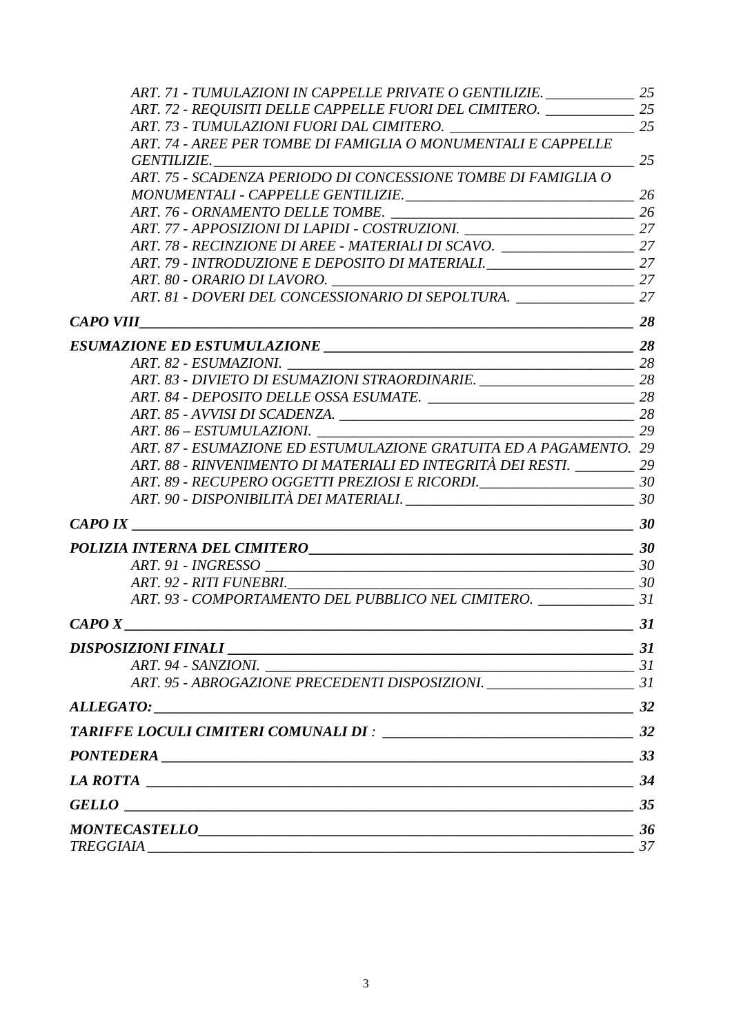| ART. 71 - TUMULAZIONI IN CAPPELLE PRIVATE O GENTILIZIE. ______________ 25            |    |
|--------------------------------------------------------------------------------------|----|
| ART. 72 - REQUISITI DELLE CAPPELLE FUORI DEL CIMITERO. _____________ 25              |    |
|                                                                                      |    |
| ART. 74 - AREE PER TOMBE DI FAMIGLIA O MONUMENTALI E CAPPELLE                        |    |
| GENTILIZIE.                                                                          | 25 |
| ART. 75 - SCADENZA PERIODO DI CONCESSIONE TOMBE DI FAMIGLIA O                        |    |
|                                                                                      |    |
|                                                                                      |    |
| ART. 77 - APPOSIZIONI DI LAPIDI - COSTRUZIONI. ________________________________ 27   |    |
| ART. 78 - RECINZIONE DI AREE - MATERIALI DI SCAVO. ________________________ 27       |    |
| ART. 79 - INTRODUZIONE E DEPOSITO DI MATERIALI. __________________________ 27        |    |
|                                                                                      |    |
| ART. 81 - DOVERI DEL CONCESSIONARIO DI SEPOLTURA. ___________________ 27             |    |
| $CAPO VIII$ 28                                                                       |    |
|                                                                                      |    |
|                                                                                      |    |
| ART. 83 - DIVIETO DI ESUMAZIONI STRAORDINARIE. __________________________ 28         |    |
|                                                                                      |    |
|                                                                                      |    |
|                                                                                      |    |
| ART. 87 - ESUMAZIONE ED ESTUMULAZIONE GRATUITA ED A PAGAMENTO. 29                    |    |
| ART. 88 - RINVENIMENTO DI MATERIALI ED INTEGRITÀ DEI RESTI. ________ 29              |    |
| ART. 89 - RECUPERO OGGETTI PREZIOSI E RICORDI. __________________________________ 30 |    |
|                                                                                      |    |
| <b>CAPO IX</b>                                                                       |    |
|                                                                                      |    |
|                                                                                      |    |
|                                                                                      |    |
| ART. 93 - COMPORTAMENTO DEL PUBBLICO NEL CIMITERO. ________________ 31               |    |
| $\frac{31}{2}$                                                                       |    |
|                                                                                      |    |
| ART. 94 - SANZIONI.                                                                  |    |
|                                                                                      |    |
|                                                                                      |    |
|                                                                                      |    |
|                                                                                      |    |
| LA ROTTA $\qquad \qquad$ 34                                                          |    |
|                                                                                      |    |
|                                                                                      |    |
|                                                                                      |    |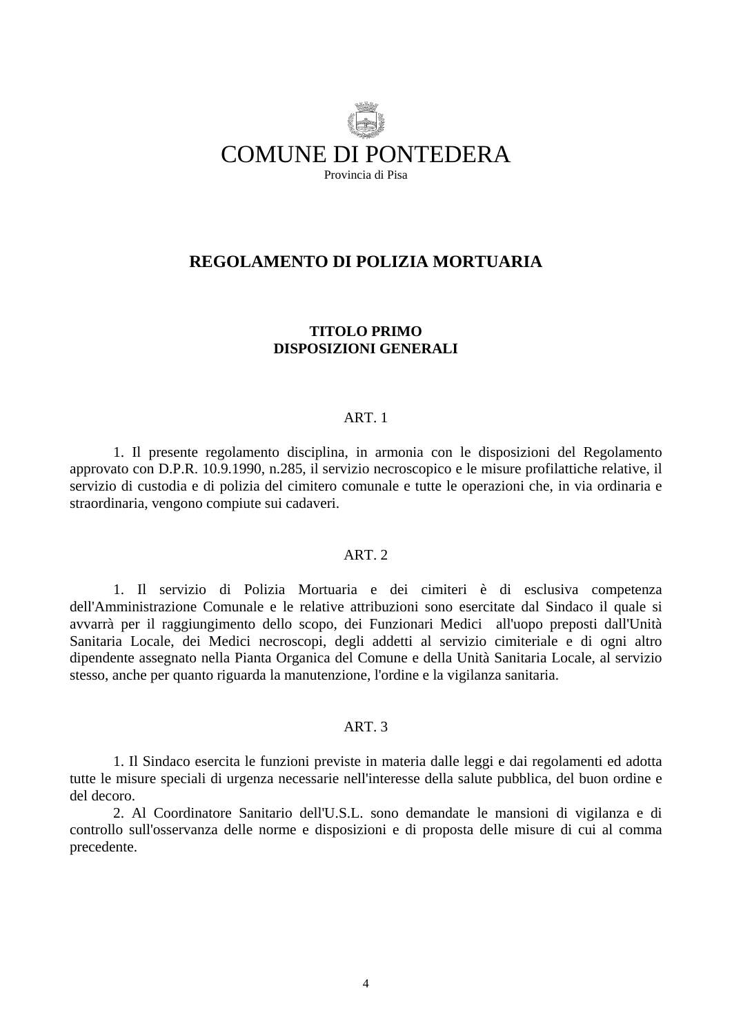<span id="page-3-0"></span>

## **REGOLAMENTO DI POLIZIA MORTUARIA**

### **TITOLO PRIMO DISPOSIZIONI GENERALI**

#### ART. 1

 1. Il presente regolamento disciplina, in armonia con le disposizioni del Regolamento approvato con D.P.R. 10.9.1990, n.285, il servizio necroscopico e le misure profilattiche relative, il servizio di custodia e di polizia del cimitero comunale e tutte le operazioni che, in via ordinaria e straordinaria, vengono compiute sui cadaveri.

#### ART. 2

 1. Il servizio di Polizia Mortuaria e dei cimiteri è di esclusiva competenza dell'Amministrazione Comunale e le relative attribuzioni sono esercitate dal Sindaco il quale si avvarrà per il raggiungimento dello scopo, dei Funzionari Medici all'uopo preposti dall'Unità Sanitaria Locale, dei Medici necroscopi, degli addetti al servizio cimiteriale e di ogni altro dipendente assegnato nella Pianta Organica del Comune e della Unità Sanitaria Locale, al servizio stesso, anche per quanto riguarda la manutenzione, l'ordine e la vigilanza sanitaria.

#### ART. 3

 1. Il Sindaco esercita le funzioni previste in materia dalle leggi e dai regolamenti ed adotta tutte le misure speciali di urgenza necessarie nell'interesse della salute pubblica, del buon ordine e del decoro.

 2. Al Coordinatore Sanitario dell'U.S.L. sono demandate le mansioni di vigilanza e di controllo sull'osservanza delle norme e disposizioni e di proposta delle misure di cui al comma precedente.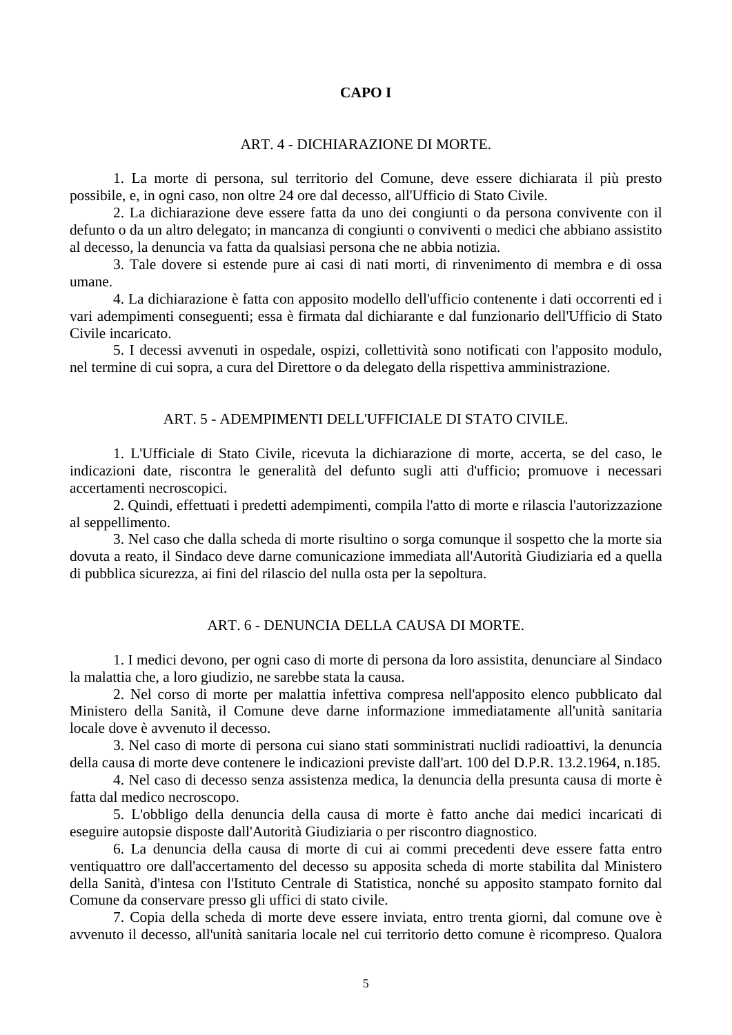## **CAPO I**

### ART. 4 - DICHIARAZIONE DI MORTE.

<span id="page-4-0"></span> 1. La morte di persona, sul territorio del Comune, deve essere dichiarata il più presto possibile, e, in ogni caso, non oltre 24 ore dal decesso, all'Ufficio di Stato Civile.

 2. La dichiarazione deve essere fatta da uno dei congiunti o da persona convivente con il defunto o da un altro delegato; in mancanza di congiunti o conviventi o medici che abbiano assistito al decesso, la denuncia va fatta da qualsiasi persona che ne abbia notizia.

 3. Tale dovere si estende pure ai casi di nati morti, di rinvenimento di membra e di ossa umane.

 4. La dichiarazione è fatta con apposito modello dell'ufficio contenente i dati occorrenti ed i vari adempimenti conseguenti; essa è firmata dal dichiarante e dal funzionario dell'Ufficio di Stato Civile incaricato.

 5. I decessi avvenuti in ospedale, ospizi, collettività sono notificati con l'apposito modulo, nel termine di cui sopra, a cura del Direttore o da delegato della rispettiva amministrazione.

#### ART. 5 - ADEMPIMENTI DELL'UFFICIALE DI STATO CIVILE.

 1. L'Ufficiale di Stato Civile, ricevuta la dichiarazione di morte, accerta, se del caso, le indicazioni date, riscontra le generalità del defunto sugli atti d'ufficio; promuove i necessari accertamenti necroscopici.

 2. Quindi, effettuati i predetti adempimenti, compila l'atto di morte e rilascia l'autorizzazione al seppellimento.

 3. Nel caso che dalla scheda di morte risultino o sorga comunque il sospetto che la morte sia dovuta a reato, il Sindaco deve darne comunicazione immediata all'Autorità Giudiziaria ed a quella di pubblica sicurezza, ai fini del rilascio del nulla osta per la sepoltura.

### ART. 6 - DENUNCIA DELLA CAUSA DI MORTE.

 1. I medici devono, per ogni caso di morte di persona da loro assistita, denunciare al Sindaco la malattia che, a loro giudizio, ne sarebbe stata la causa.

 2. Nel corso di morte per malattia infettiva compresa nell'apposito elenco pubblicato dal Ministero della Sanità, il Comune deve darne informazione immediatamente all'unità sanitaria locale dove è avvenuto il decesso.

 3. Nel caso di morte di persona cui siano stati somministrati nuclidi radioattivi, la denuncia della causa di morte deve contenere le indicazioni previste dall'art. 100 del D.P.R. 13.2.1964, n.185.

 4. Nel caso di decesso senza assistenza medica, la denuncia della presunta causa di morte è fatta dal medico necroscopo.

 5. L'obbligo della denuncia della causa di morte è fatto anche dai medici incaricati di eseguire autopsie disposte dall'Autorità Giudiziaria o per riscontro diagnostico.

 6. La denuncia della causa di morte di cui ai commi precedenti deve essere fatta entro ventiquattro ore dall'accertamento del decesso su apposita scheda di morte stabilita dal Ministero della Sanità, d'intesa con l'Istituto Centrale di Statistica, nonché su apposito stampato fornito dal Comune da conservare presso gli uffici di stato civile.

 7. Copia della scheda di morte deve essere inviata, entro trenta giorni, dal comune ove è avvenuto il decesso, all'unità sanitaria locale nel cui territorio detto comune è ricompreso. Qualora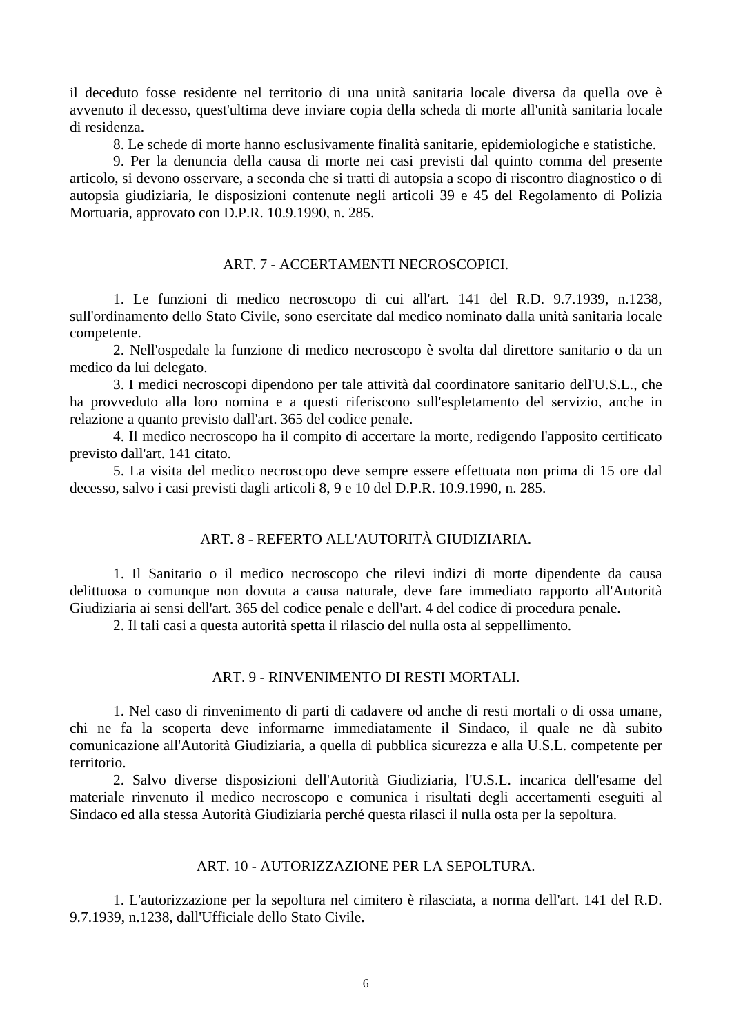<span id="page-5-0"></span>il deceduto fosse residente nel territorio di una unità sanitaria locale diversa da quella ove è avvenuto il decesso, quest'ultima deve inviare copia della scheda di morte all'unità sanitaria locale di residenza.

8. Le schede di morte hanno esclusivamente finalità sanitarie, epidemiologiche e statistiche.

 9. Per la denuncia della causa di morte nei casi previsti dal quinto comma del presente articolo, si devono osservare, a seconda che si tratti di autopsia a scopo di riscontro diagnostico o di autopsia giudiziaria, le disposizioni contenute negli articoli 39 e 45 del Regolamento di Polizia Mortuaria, approvato con D.P.R. 10.9.1990, n. 285.

#### ART. 7 - ACCERTAMENTI NECROSCOPICI.

 1. Le funzioni di medico necroscopo di cui all'art. 141 del R.D. 9.7.1939, n.1238, sull'ordinamento dello Stato Civile, sono esercitate dal medico nominato dalla unità sanitaria locale competente.

 2. Nell'ospedale la funzione di medico necroscopo è svolta dal direttore sanitario o da un medico da lui delegato.

 3. I medici necroscopi dipendono per tale attività dal coordinatore sanitario dell'U.S.L., che ha provveduto alla loro nomina e a questi riferiscono sull'espletamento del servizio, anche in relazione a quanto previsto dall'art. 365 del codice penale.

 4. Il medico necroscopo ha il compito di accertare la morte, redigendo l'apposito certificato previsto dall'art. 141 citato.

 5. La visita del medico necroscopo deve sempre essere effettuata non prima di 15 ore dal decesso, salvo i casi previsti dagli articoli 8, 9 e 10 del D.P.R. 10.9.1990, n. 285.

#### ART. 8 - REFERTO ALL'AUTORITÀ GIUDIZIARIA.

 1. Il Sanitario o il medico necroscopo che rilevi indizi di morte dipendente da causa delittuosa o comunque non dovuta a causa naturale, deve fare immediato rapporto all'Autorità Giudiziaria ai sensi dell'art. 365 del codice penale e dell'art. 4 del codice di procedura penale.

2. Il tali casi a questa autorità spetta il rilascio del nulla osta al seppellimento.

#### ART. 9 - RINVENIMENTO DI RESTI MORTALI.

 1. Nel caso di rinvenimento di parti di cadavere od anche di resti mortali o di ossa umane, chi ne fa la scoperta deve informarne immediatamente il Sindaco, il quale ne dà subito comunicazione all'Autorità Giudiziaria, a quella di pubblica sicurezza e alla U.S.L. competente per territorio.

 2. Salvo diverse disposizioni dell'Autorità Giudiziaria, l'U.S.L. incarica dell'esame del materiale rinvenuto il medico necroscopo e comunica i risultati degli accertamenti eseguiti al Sindaco ed alla stessa Autorità Giudiziaria perché questa rilasci il nulla osta per la sepoltura.

#### ART. 10 - AUTORIZZAZIONE PER LA SEPOLTURA.

 1. L'autorizzazione per la sepoltura nel cimitero è rilasciata, a norma dell'art. 141 del R.D. 9.7.1939, n.1238, dall'Ufficiale dello Stato Civile.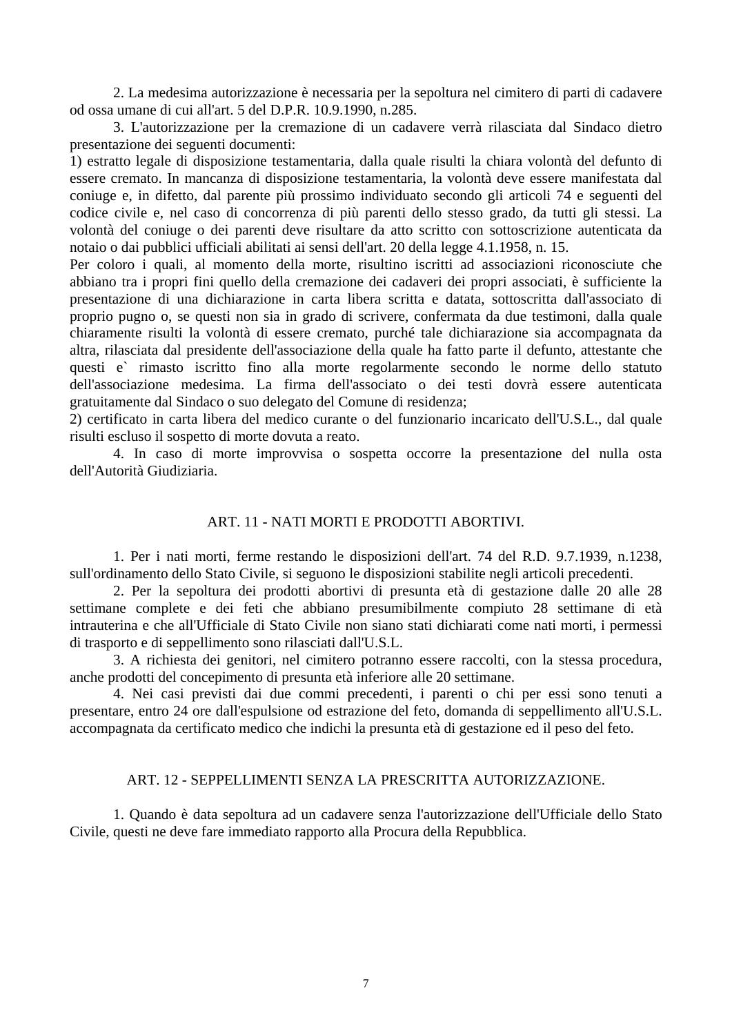<span id="page-6-0"></span> 2. La medesima autorizzazione è necessaria per la sepoltura nel cimitero di parti di cadavere od ossa umane di cui all'art. 5 del D.P.R. 10.9.1990, n.285.

 3. L'autorizzazione per la cremazione di un cadavere verrà rilasciata dal Sindaco dietro presentazione dei seguenti documenti:

1) estratto legale di disposizione testamentaria, dalla quale risulti la chiara volontà del defunto di essere cremato. In mancanza di disposizione testamentaria, la volontà deve essere manifestata dal coniuge e, in difetto, dal parente più prossimo individuato secondo gli articoli 74 e seguenti del codice civile e, nel caso di concorrenza di più parenti dello stesso grado, da tutti gli stessi. La volontà del coniuge o dei parenti deve risultare da atto scritto con sottoscrizione autenticata da notaio o dai pubblici ufficiali abilitati ai sensi dell'art. 20 della legge 4.1.1958, n. 15.

Per coloro i quali, al momento della morte, risultino iscritti ad associazioni riconosciute che abbiano tra i propri fini quello della cremazione dei cadaveri dei propri associati, è sufficiente la presentazione di una dichiarazione in carta libera scritta e datata, sottoscritta dall'associato di proprio pugno o, se questi non sia in grado di scrivere, confermata da due testimoni, dalla quale chiaramente risulti la volontà di essere cremato, purché tale dichiarazione sia accompagnata da altra, rilasciata dal presidente dell'associazione della quale ha fatto parte il defunto, attestante che questi e` rimasto iscritto fino alla morte regolarmente secondo le norme dello statuto dell'associazione medesima. La firma dell'associato o dei testi dovrà essere autenticata gratuitamente dal Sindaco o suo delegato del Comune di residenza;

2) certificato in carta libera del medico curante o del funzionario incaricato dell'U.S.L., dal quale risulti escluso il sospetto di morte dovuta a reato.

 4. In caso di morte improvvisa o sospetta occorre la presentazione del nulla osta dell'Autorità Giudiziaria.

## ART. 11 - NATI MORTI E PRODOTTI ABORTIVI.

 1. Per i nati morti, ferme restando le disposizioni dell'art. 74 del R.D. 9.7.1939, n.1238, sull'ordinamento dello Stato Civile, si seguono le disposizioni stabilite negli articoli precedenti.

 2. Per la sepoltura dei prodotti abortivi di presunta età di gestazione dalle 20 alle 28 settimane complete e dei feti che abbiano presumibilmente compiuto 28 settimane di età intrauterina e che all'Ufficiale di Stato Civile non siano stati dichiarati come nati morti, i permessi di trasporto e di seppellimento sono rilasciati dall'U.S.L.

 3. A richiesta dei genitori, nel cimitero potranno essere raccolti, con la stessa procedura, anche prodotti del concepimento di presunta età inferiore alle 20 settimane.

 4. Nei casi previsti dai due commi precedenti, i parenti o chi per essi sono tenuti a presentare, entro 24 ore dall'espulsione od estrazione del feto, domanda di seppellimento all'U.S.L. accompagnata da certificato medico che indichi la presunta età di gestazione ed il peso del feto.

### ART. 12 - SEPPELLIMENTI SENZA LA PRESCRITTA AUTORIZZAZIONE.

 1. Quando è data sepoltura ad un cadavere senza l'autorizzazione dell'Ufficiale dello Stato Civile, questi ne deve fare immediato rapporto alla Procura della Repubblica.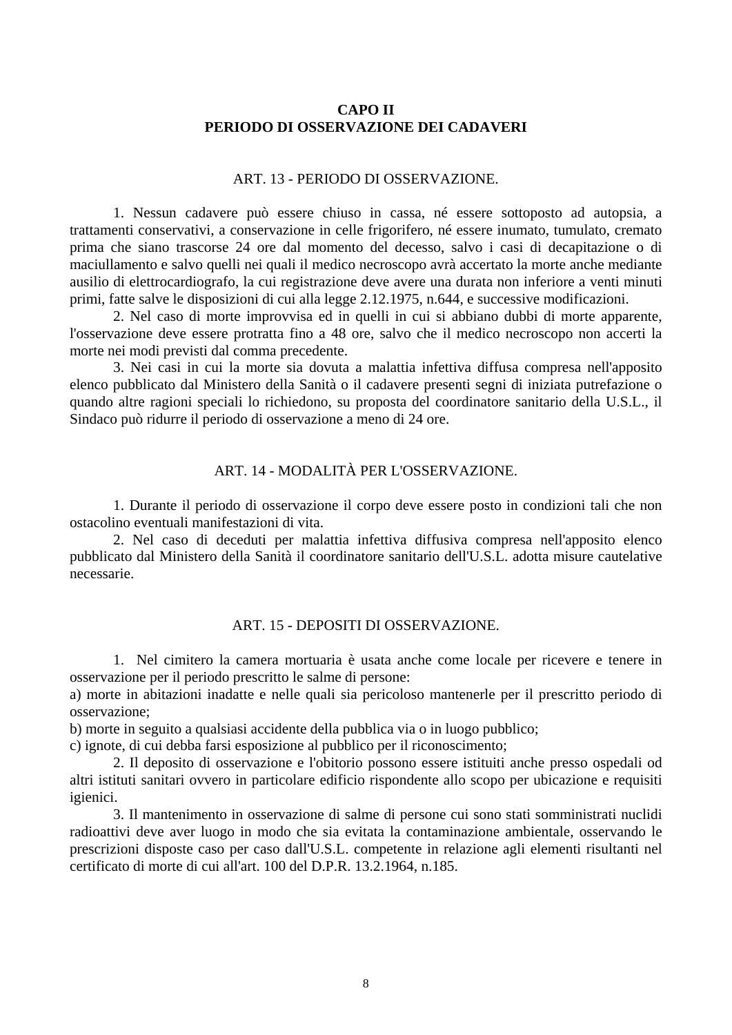## **CAPO II PERIODO DI OSSERVAZIONE DEI CADAVERI**

#### ART. 13 - PERIODO DI OSSERVAZIONE.

<span id="page-7-0"></span> 1. Nessun cadavere può essere chiuso in cassa, né essere sottoposto ad autopsia, a trattamenti conservativi, a conservazione in celle frigorifero, né essere inumato, tumulato, cremato prima che siano trascorse 24 ore dal momento del decesso, salvo i casi di decapitazione o di maciullamento e salvo quelli nei quali il medico necroscopo avrà accertato la morte anche mediante ausilio di elettrocardiografo, la cui registrazione deve avere una durata non inferiore a venti minuti primi, fatte salve le disposizioni di cui alla legge 2.12.1975, n.644, e successive modificazioni.

 2. Nel caso di morte improvvisa ed in quelli in cui si abbiano dubbi di morte apparente, l'osservazione deve essere protratta fino a 48 ore, salvo che il medico necroscopo non accerti la morte nei modi previsti dal comma precedente.

 3. Nei casi in cui la morte sia dovuta a malattia infettiva diffusa compresa nell'apposito elenco pubblicato dal Ministero della Sanità o il cadavere presenti segni di iniziata putrefazione o quando altre ragioni speciali lo richiedono, su proposta del coordinatore sanitario della U.S.L., il Sindaco può ridurre il periodo di osservazione a meno di 24 ore.

### ART. 14 - MODALITÀ PER L'OSSERVAZIONE.

 1. Durante il periodo di osservazione il corpo deve essere posto in condizioni tali che non ostacolino eventuali manifestazioni di vita.

 2. Nel caso di deceduti per malattia infettiva diffusiva compresa nell'apposito elenco pubblicato dal Ministero della Sanità il coordinatore sanitario dell'U.S.L. adotta misure cautelative necessarie.

#### ART. 15 - DEPOSITI DI OSSERVAZIONE.

 1. Nel cimitero la camera mortuaria è usata anche come locale per ricevere e tenere in osservazione per il periodo prescritto le salme di persone:

a) morte in abitazioni inadatte e nelle quali sia pericoloso mantenerle per il prescritto periodo di osservazione;

b) morte in seguito a qualsiasi accidente della pubblica via o in luogo pubblico;

c) ignote, di cui debba farsi esposizione al pubblico per il riconoscimento;

 2. Il deposito di osservazione e l'obitorio possono essere istituiti anche presso ospedali od altri istituti sanitari ovvero in particolare edificio rispondente allo scopo per ubicazione e requisiti igienici.

 3. Il mantenimento in osservazione di salme di persone cui sono stati somministrati nuclidi radioattivi deve aver luogo in modo che sia evitata la contaminazione ambientale, osservando le prescrizioni disposte caso per caso dall'U.S.L. competente in relazione agli elementi risultanti nel certificato di morte di cui all'art. 100 del D.P.R. 13.2.1964, n.185.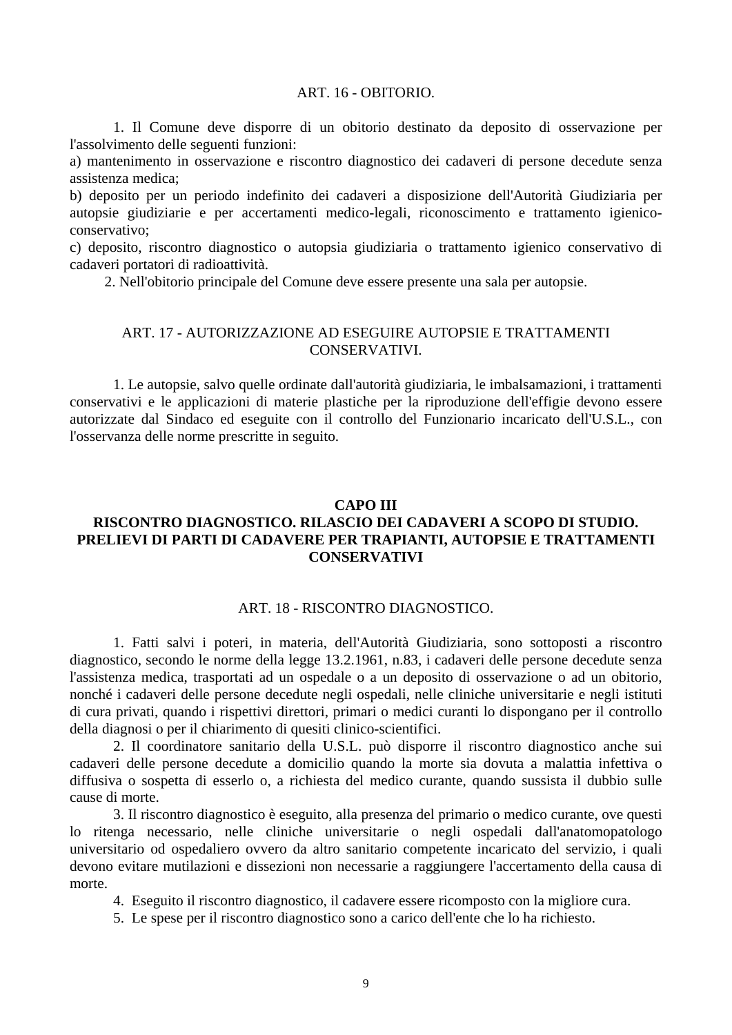#### ART. 16 - OBITORIO.

<span id="page-8-0"></span> 1. Il Comune deve disporre di un obitorio destinato da deposito di osservazione per l'assolvimento delle seguenti funzioni:

a) mantenimento in osservazione e riscontro diagnostico dei cadaveri di persone decedute senza assistenza medica;

b) deposito per un periodo indefinito dei cadaveri a disposizione dell'Autorità Giudiziaria per autopsie giudiziarie e per accertamenti medico-legali, riconoscimento e trattamento igienicoconservativo;

c) deposito, riscontro diagnostico o autopsia giudiziaria o trattamento igienico conservativo di cadaveri portatori di radioattività.

2. Nell'obitorio principale del Comune deve essere presente una sala per autopsie.

#### ART. 17 - AUTORIZZAZIONE AD ESEGUIRE AUTOPSIE E TRATTAMENTI **CONSERVATIVI**

 1. Le autopsie, salvo quelle ordinate dall'autorità giudiziaria, le imbalsamazioni, i trattamenti conservativi e le applicazioni di materie plastiche per la riproduzione dell'effigie devono essere autorizzate dal Sindaco ed eseguite con il controllo del Funzionario incaricato dell'U.S.L., con l'osservanza delle norme prescritte in seguito.

### **CAPO III**

## **RISCONTRO DIAGNOSTICO. RILASCIO DEI CADAVERI A SCOPO DI STUDIO. PRELIEVI DI PARTI DI CADAVERE PER TRAPIANTI, AUTOPSIE E TRATTAMENTI CONSERVATIVI**

#### ART. 18 - RISCONTRO DIAGNOSTICO.

 1. Fatti salvi i poteri, in materia, dell'Autorità Giudiziaria, sono sottoposti a riscontro diagnostico, secondo le norme della legge 13.2.1961, n.83, i cadaveri delle persone decedute senza l'assistenza medica, trasportati ad un ospedale o a un deposito di osservazione o ad un obitorio, nonché i cadaveri delle persone decedute negli ospedali, nelle cliniche universitarie e negli istituti di cura privati, quando i rispettivi direttori, primari o medici curanti lo dispongano per il controllo della diagnosi o per il chiarimento di quesiti clinico-scientifici.

 2. Il coordinatore sanitario della U.S.L. può disporre il riscontro diagnostico anche sui cadaveri delle persone decedute a domicilio quando la morte sia dovuta a malattia infettiva o diffusiva o sospetta di esserlo o, a richiesta del medico curante, quando sussista il dubbio sulle cause di morte.

 3. Il riscontro diagnostico è eseguito, alla presenza del primario o medico curante, ove questi lo ritenga necessario, nelle cliniche universitarie o negli ospedali dall'anatomopatologo universitario od ospedaliero ovvero da altro sanitario competente incaricato del servizio, i quali devono evitare mutilazioni e dissezioni non necessarie a raggiungere l'accertamento della causa di morte.

4. Eseguito il riscontro diagnostico, il cadavere essere ricomposto con la migliore cura.

5. Le spese per il riscontro diagnostico sono a carico dell'ente che lo ha richiesto.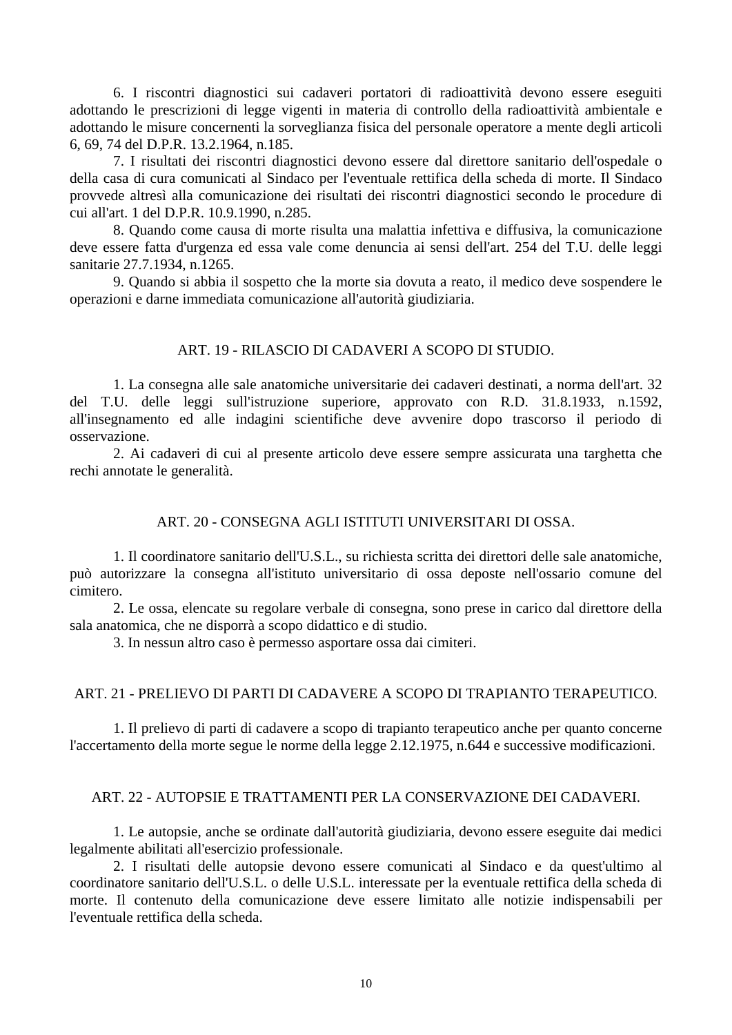<span id="page-9-0"></span> 6. I riscontri diagnostici sui cadaveri portatori di radioattività devono essere eseguiti adottando le prescrizioni di legge vigenti in materia di controllo della radioattività ambientale e adottando le misure concernenti la sorveglianza fisica del personale operatore a mente degli articoli 6, 69, 74 del D.P.R. 13.2.1964, n.185.

 7. I risultati dei riscontri diagnostici devono essere dal direttore sanitario dell'ospedale o della casa di cura comunicati al Sindaco per l'eventuale rettifica della scheda di morte. Il Sindaco provvede altresì alla comunicazione dei risultati dei riscontri diagnostici secondo le procedure di cui all'art. 1 del D.P.R. 10.9.1990, n.285.

 8. Quando come causa di morte risulta una malattia infettiva e diffusiva, la comunicazione deve essere fatta d'urgenza ed essa vale come denuncia ai sensi dell'art. 254 del T.U. delle leggi sanitarie 27.7.1934, n.1265.

 9. Quando si abbia il sospetto che la morte sia dovuta a reato, il medico deve sospendere le operazioni e darne immediata comunicazione all'autorità giudiziaria.

#### ART. 19 - RILASCIO DI CADAVERI A SCOPO DI STUDIO.

 1. La consegna alle sale anatomiche universitarie dei cadaveri destinati, a norma dell'art. 32 del T.U. delle leggi sull'istruzione superiore, approvato con R.D. 31.8.1933, n.1592, all'insegnamento ed alle indagini scientifiche deve avvenire dopo trascorso il periodo di osservazione.

 2. Ai cadaveri di cui al presente articolo deve essere sempre assicurata una targhetta che rechi annotate le generalità.

#### ART. 20 - CONSEGNA AGLI ISTITUTI UNIVERSITARI DI OSSA.

 1. Il coordinatore sanitario dell'U.S.L., su richiesta scritta dei direttori delle sale anatomiche, può autorizzare la consegna all'istituto universitario di ossa deposte nell'ossario comune del cimitero.

 2. Le ossa, elencate su regolare verbale di consegna, sono prese in carico dal direttore della sala anatomica, che ne disporrà a scopo didattico e di studio.

3. In nessun altro caso è permesso asportare ossa dai cimiteri.

#### ART. 21 - PRELIEVO DI PARTI DI CADAVERE A SCOPO DI TRAPIANTO TERAPEUTICO.

 1. Il prelievo di parti di cadavere a scopo di trapianto terapeutico anche per quanto concerne l'accertamento della morte segue le norme della legge 2.12.1975, n.644 e successive modificazioni.

#### ART. 22 - AUTOPSIE E TRATTAMENTI PER LA CONSERVAZIONE DEI CADAVERI.

 1. Le autopsie, anche se ordinate dall'autorità giudiziaria, devono essere eseguite dai medici legalmente abilitati all'esercizio professionale.

 2. I risultati delle autopsie devono essere comunicati al Sindaco e da quest'ultimo al coordinatore sanitario dell'U.S.L. o delle U.S.L. interessate per la eventuale rettifica della scheda di morte. Il contenuto della comunicazione deve essere limitato alle notizie indispensabili per l'eventuale rettifica della scheda.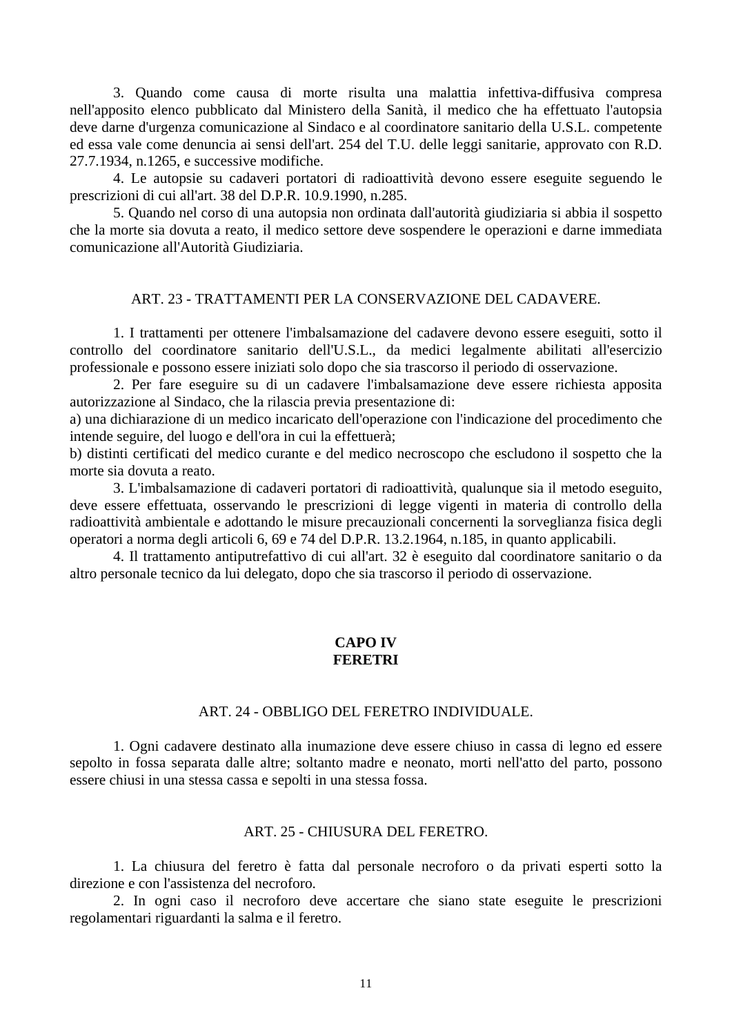<span id="page-10-0"></span> 3. Quando come causa di morte risulta una malattia infettiva-diffusiva compresa nell'apposito elenco pubblicato dal Ministero della Sanità, il medico che ha effettuato l'autopsia deve darne d'urgenza comunicazione al Sindaco e al coordinatore sanitario della U.S.L. competente ed essa vale come denuncia ai sensi dell'art. 254 del T.U. delle leggi sanitarie, approvato con R.D. 27.7.1934, n.1265, e successive modifiche.

 4. Le autopsie su cadaveri portatori di radioattività devono essere eseguite seguendo le prescrizioni di cui all'art. 38 del D.P.R. 10.9.1990, n.285.

 5. Quando nel corso di una autopsia non ordinata dall'autorità giudiziaria si abbia il sospetto che la morte sia dovuta a reato, il medico settore deve sospendere le operazioni e darne immediata comunicazione all'Autorità Giudiziaria.

#### ART. 23 - TRATTAMENTI PER LA CONSERVAZIONE DEL CADAVERE.

 1. I trattamenti per ottenere l'imbalsamazione del cadavere devono essere eseguiti, sotto il controllo del coordinatore sanitario dell'U.S.L., da medici legalmente abilitati all'esercizio professionale e possono essere iniziati solo dopo che sia trascorso il periodo di osservazione.

 2. Per fare eseguire su di un cadavere l'imbalsamazione deve essere richiesta apposita autorizzazione al Sindaco, che la rilascia previa presentazione di:

a) una dichiarazione di un medico incaricato dell'operazione con l'indicazione del procedimento che intende seguire, del luogo e dell'ora in cui la effettuerà;

b) distinti certificati del medico curante e del medico necroscopo che escludono il sospetto che la morte sia dovuta a reato.

 3. L'imbalsamazione di cadaveri portatori di radioattività, qualunque sia il metodo eseguito, deve essere effettuata, osservando le prescrizioni di legge vigenti in materia di controllo della radioattività ambientale e adottando le misure precauzionali concernenti la sorveglianza fisica degli operatori a norma degli articoli 6, 69 e 74 del D.P.R. 13.2.1964, n.185, in quanto applicabili.

 4. Il trattamento antiputrefattivo di cui all'art. 32 è eseguito dal coordinatore sanitario o da altro personale tecnico da lui delegato, dopo che sia trascorso il periodo di osservazione.

#### **CAPO IV FERETRI**

#### ART. 24 - OBBLIGO DEL FERETRO INDIVIDUALE.

 1. Ogni cadavere destinato alla inumazione deve essere chiuso in cassa di legno ed essere sepolto in fossa separata dalle altre; soltanto madre e neonato, morti nell'atto del parto, possono essere chiusi in una stessa cassa e sepolti in una stessa fossa.

#### ART. 25 - CHIUSURA DEL FERETRO.

 1. La chiusura del feretro è fatta dal personale necroforo o da privati esperti sotto la direzione e con l'assistenza del necroforo.

 2. In ogni caso il necroforo deve accertare che siano state eseguite le prescrizioni regolamentari riguardanti la salma e il feretro.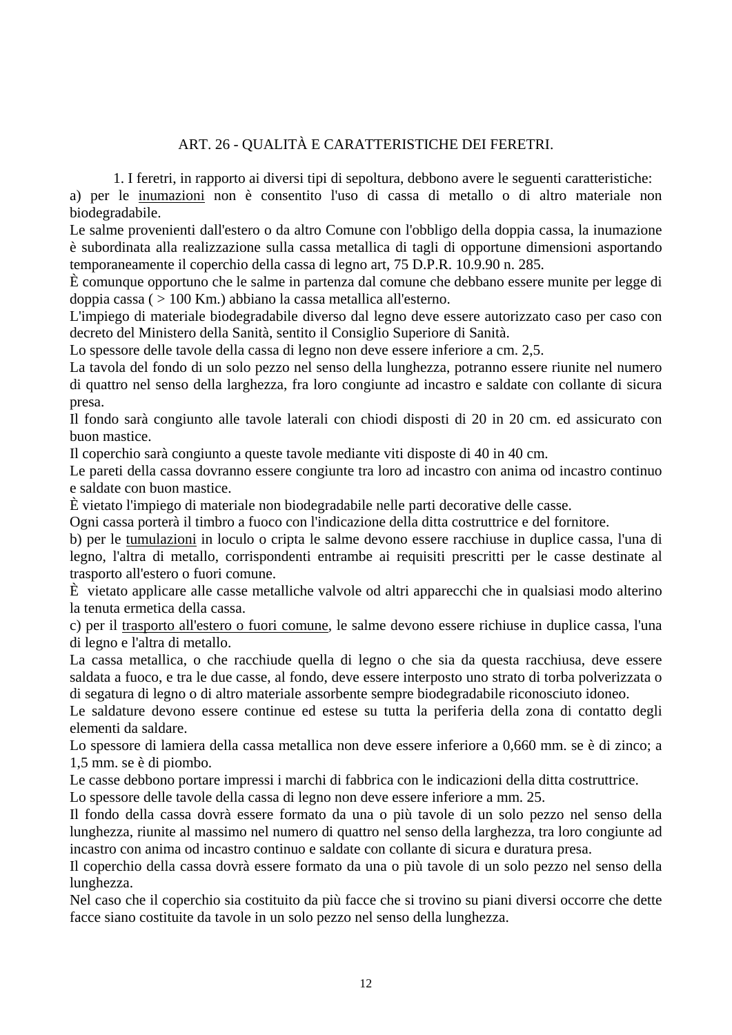# ART. 26 - QUALITÀ E CARATTERISTICHE DEI FERETRI.

1. I feretri, in rapporto ai diversi tipi di sepoltura, debbono avere le seguenti caratteristiche:

<span id="page-11-0"></span>a) per le inumazioni non è consentito l'uso di cassa di metallo o di altro materiale non biodegradabile.

Le salme provenienti dall'estero o da altro Comune con l'obbligo della doppia cassa, la inumazione è subordinata alla realizzazione sulla cassa metallica di tagli di opportune dimensioni asportando temporaneamente il coperchio della cassa di legno art, 75 D.P.R. 10.9.90 n. 285.

È comunque opportuno che le salme in partenza dal comune che debbano essere munite per legge di doppia cassa ( > 100 Km.) abbiano la cassa metallica all'esterno.

L'impiego di materiale biodegradabile diverso dal legno deve essere autorizzato caso per caso con decreto del Ministero della Sanità, sentito il Consiglio Superiore di Sanità.

Lo spessore delle tavole della cassa di legno non deve essere inferiore a cm. 2,5.

La tavola del fondo di un solo pezzo nel senso della lunghezza, potranno essere riunite nel numero di quattro nel senso della larghezza, fra loro congiunte ad incastro e saldate con collante di sicura presa.

Il fondo sarà congiunto alle tavole laterali con chiodi disposti di 20 in 20 cm. ed assicurato con buon mastice.

Il coperchio sarà congiunto a queste tavole mediante viti disposte di 40 in 40 cm.

Le pareti della cassa dovranno essere congiunte tra loro ad incastro con anima od incastro continuo e saldate con buon mastice.

È vietato l'impiego di materiale non biodegradabile nelle parti decorative delle casse.

Ogni cassa porterà il timbro a fuoco con l'indicazione della ditta costruttrice e del fornitore.

b) per le tumulazioni in loculo o cripta le salme devono essere racchiuse in duplice cassa, l'una di legno, l'altra di metallo, corrispondenti entrambe ai requisiti prescritti per le casse destinate al trasporto all'estero o fuori comune.

È vietato applicare alle casse metalliche valvole od altri apparecchi che in qualsiasi modo alterino la tenuta ermetica della cassa.

c) per il trasporto all'estero o fuori comune, le salme devono essere richiuse in duplice cassa, l'una di legno e l'altra di metallo.

La cassa metallica, o che racchiude quella di legno o che sia da questa racchiusa, deve essere saldata a fuoco, e tra le due casse, al fondo, deve essere interposto uno strato di torba polverizzata o di segatura di legno o di altro materiale assorbente sempre biodegradabile riconosciuto idoneo.

Le saldature devono essere continue ed estese su tutta la periferia della zona di contatto degli elementi da saldare.

Lo spessore di lamiera della cassa metallica non deve essere inferiore a 0,660 mm. se è di zinco; a 1,5 mm. se è di piombo.

Le casse debbono portare impressi i marchi di fabbrica con le indicazioni della ditta costruttrice.

Lo spessore delle tavole della cassa di legno non deve essere inferiore a mm. 25.

Il fondo della cassa dovrà essere formato da una o più tavole di un solo pezzo nel senso della lunghezza, riunite al massimo nel numero di quattro nel senso della larghezza, tra loro congiunte ad incastro con anima od incastro continuo e saldate con collante di sicura e duratura presa.

Il coperchio della cassa dovrà essere formato da una o più tavole di un solo pezzo nel senso della lunghezza.

Nel caso che il coperchio sia costituito da più facce che si trovino su piani diversi occorre che dette facce siano costituite da tavole in un solo pezzo nel senso della lunghezza.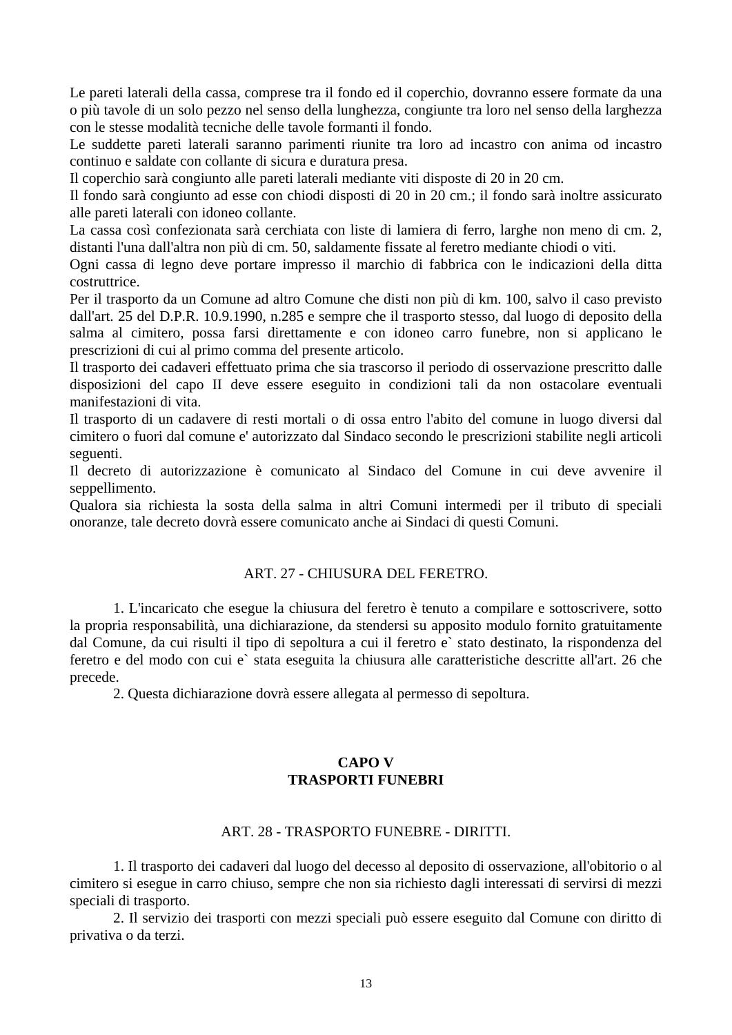<span id="page-12-0"></span>Le pareti laterali della cassa, comprese tra il fondo ed il coperchio, dovranno essere formate da una o più tavole di un solo pezzo nel senso della lunghezza, congiunte tra loro nel senso della larghezza con le stesse modalità tecniche delle tavole formanti il fondo.

Le suddette pareti laterali saranno parimenti riunite tra loro ad incastro con anima od incastro continuo e saldate con collante di sicura e duratura presa.

Il coperchio sarà congiunto alle pareti laterali mediante viti disposte di 20 in 20 cm.

Il fondo sarà congiunto ad esse con chiodi disposti di 20 in 20 cm.; il fondo sarà inoltre assicurato alle pareti laterali con idoneo collante.

La cassa così confezionata sarà cerchiata con liste di lamiera di ferro, larghe non meno di cm. 2, distanti l'una dall'altra non più di cm. 50, saldamente fissate al feretro mediante chiodi o viti.

Ogni cassa di legno deve portare impresso il marchio di fabbrica con le indicazioni della ditta costruttrice.

Per il trasporto da un Comune ad altro Comune che disti non più di km. 100, salvo il caso previsto dall'art. 25 del D.P.R. 10.9.1990, n.285 e sempre che il trasporto stesso, dal luogo di deposito della salma al cimitero, possa farsi direttamente e con idoneo carro funebre, non si applicano le prescrizioni di cui al primo comma del presente articolo.

Il trasporto dei cadaveri effettuato prima che sia trascorso il periodo di osservazione prescritto dalle disposizioni del capo II deve essere eseguito in condizioni tali da non ostacolare eventuali manifestazioni di vita.

Il trasporto di un cadavere di resti mortali o di ossa entro l'abito del comune in luogo diversi dal cimitero o fuori dal comune e' autorizzato dal Sindaco secondo le prescrizioni stabilite negli articoli seguenti.

Il decreto di autorizzazione è comunicato al Sindaco del Comune in cui deve avvenire il seppellimento.

Qualora sia richiesta la sosta della salma in altri Comuni intermedi per il tributo di speciali onoranze, tale decreto dovrà essere comunicato anche ai Sindaci di questi Comuni.

## ART. 27 - CHIUSURA DEL FERETRO.

 1. L'incaricato che esegue la chiusura del feretro è tenuto a compilare e sottoscrivere, sotto la propria responsabilità, una dichiarazione, da stendersi su apposito modulo fornito gratuitamente dal Comune, da cui risulti il tipo di sepoltura a cui il feretro e` stato destinato, la rispondenza del feretro e del modo con cui e` stata eseguita la chiusura alle caratteristiche descritte all'art. 26 che precede.

2. Questa dichiarazione dovrà essere allegata al permesso di sepoltura.

## **CAPO V TRASPORTI FUNEBRI**

### ART. 28 - TRASPORTO FUNEBRE - DIRITTI.

 1. Il trasporto dei cadaveri dal luogo del decesso al deposito di osservazione, all'obitorio o al cimitero si esegue in carro chiuso, sempre che non sia richiesto dagli interessati di servirsi di mezzi speciali di trasporto.

 2. Il servizio dei trasporti con mezzi speciali può essere eseguito dal Comune con diritto di privativa o da terzi.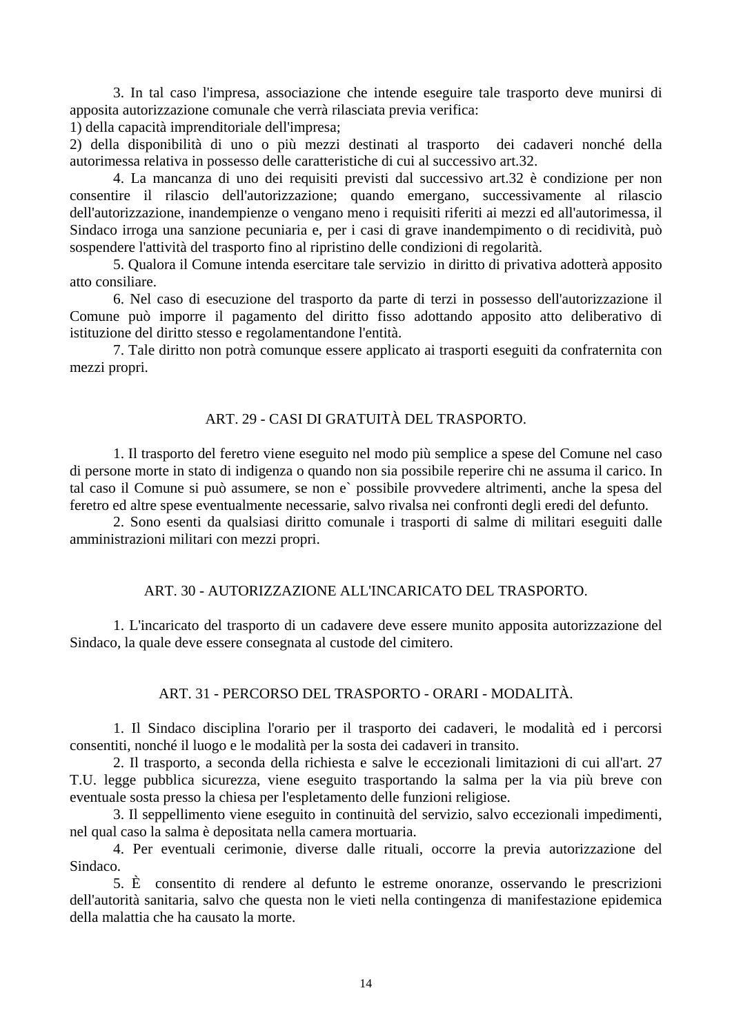<span id="page-13-0"></span> 3. In tal caso l'impresa, associazione che intende eseguire tale trasporto deve munirsi di apposita autorizzazione comunale che verrà rilasciata previa verifica:

1) della capacità imprenditoriale dell'impresa;

2) della disponibilità di uno o più mezzi destinati al trasporto dei cadaveri nonché della autorimessa relativa in possesso delle caratteristiche di cui al successivo art.32.

 4. La mancanza di uno dei requisiti previsti dal successivo art.32 è condizione per non consentire il rilascio dell'autorizzazione; quando emergano, successivamente al rilascio dell'autorizzazione, inandempienze o vengano meno i requisiti riferiti ai mezzi ed all'autorimessa, il Sindaco irroga una sanzione pecuniaria e, per i casi di grave inandempimento o di recidività, può sospendere l'attività del trasporto fino al ripristino delle condizioni di regolarità.

 5. Qualora il Comune intenda esercitare tale servizio in diritto di privativa adotterà apposito atto consiliare.

 6. Nel caso di esecuzione del trasporto da parte di terzi in possesso dell'autorizzazione il Comune può imporre il pagamento del diritto fisso adottando apposito atto deliberativo di istituzione del diritto stesso e regolamentandone l'entità.

 7. Tale diritto non potrà comunque essere applicato ai trasporti eseguiti da confraternita con mezzi propri.

### ART. 29 - CASI DI GRATUITÀ DEL TRASPORTO.

 1. Il trasporto del feretro viene eseguito nel modo più semplice a spese del Comune nel caso di persone morte in stato di indigenza o quando non sia possibile reperire chi ne assuma il carico. In tal caso il Comune si può assumere, se non e` possibile provvedere altrimenti, anche la spesa del feretro ed altre spese eventualmente necessarie, salvo rivalsa nei confronti degli eredi del defunto.

 2. Sono esenti da qualsiasi diritto comunale i trasporti di salme di militari eseguiti dalle amministrazioni militari con mezzi propri.

### ART. 30 - AUTORIZZAZIONE ALL'INCARICATO DEL TRASPORTO.

 1. L'incaricato del trasporto di un cadavere deve essere munito apposita autorizzazione del Sindaco, la quale deve essere consegnata al custode del cimitero.

### ART. 31 - PERCORSO DEL TRASPORTO - ORARI - MODALITÀ.

 1. Il Sindaco disciplina l'orario per il trasporto dei cadaveri, le modalità ed i percorsi consentiti, nonché il luogo e le modalità per la sosta dei cadaveri in transito.

 2. Il trasporto, a seconda della richiesta e salve le eccezionali limitazioni di cui all'art. 27 T.U. legge pubblica sicurezza, viene eseguito trasportando la salma per la via più breve con eventuale sosta presso la chiesa per l'espletamento delle funzioni religiose.

 3. Il seppellimento viene eseguito in continuità del servizio, salvo eccezionali impedimenti, nel qual caso la salma è depositata nella camera mortuaria.

 4. Per eventuali cerimonie, diverse dalle rituali, occorre la previa autorizzazione del Sindaco.

 5. È consentito di rendere al defunto le estreme onoranze, osservando le prescrizioni dell'autorità sanitaria, salvo che questa non le vieti nella contingenza di manifestazione epidemica della malattia che ha causato la morte.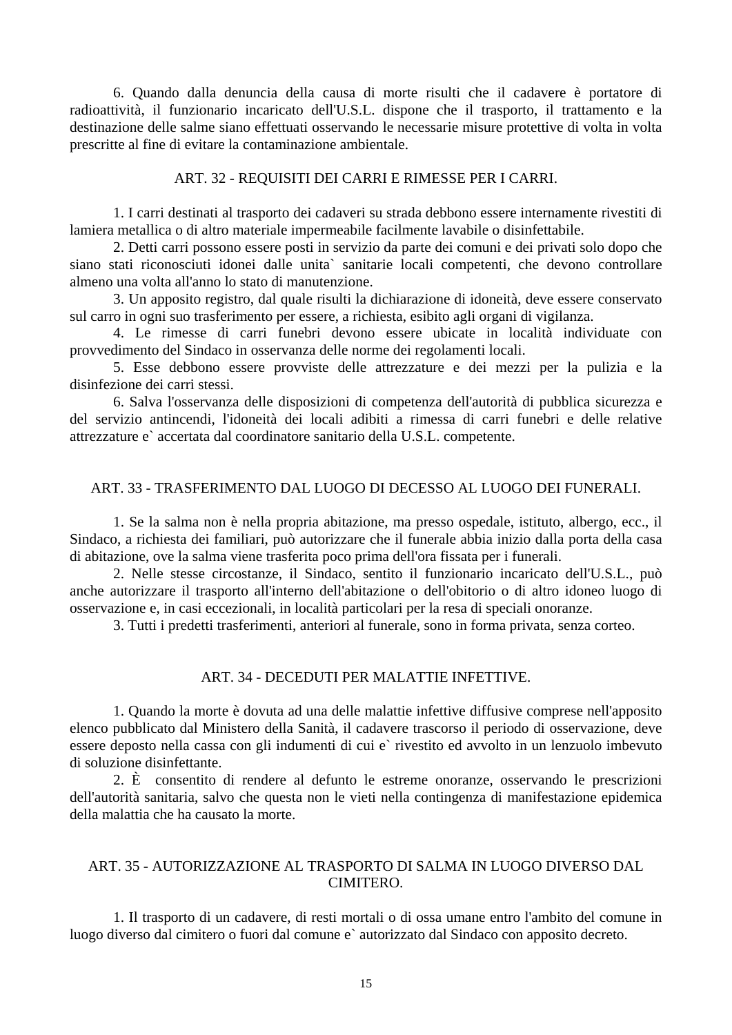<span id="page-14-0"></span> 6. Quando dalla denuncia della causa di morte risulti che il cadavere è portatore di radioattività, il funzionario incaricato dell'U.S.L. dispone che il trasporto, il trattamento e la destinazione delle salme siano effettuati osservando le necessarie misure protettive di volta in volta prescritte al fine di evitare la contaminazione ambientale.

#### ART. 32 - REQUISITI DEI CARRI E RIMESSE PER I CARRI.

 1. I carri destinati al trasporto dei cadaveri su strada debbono essere internamente rivestiti di lamiera metallica o di altro materiale impermeabile facilmente lavabile o disinfettabile.

 2. Detti carri possono essere posti in servizio da parte dei comuni e dei privati solo dopo che siano stati riconosciuti idonei dalle unita` sanitarie locali competenti, che devono controllare almeno una volta all'anno lo stato di manutenzione.

 3. Un apposito registro, dal quale risulti la dichiarazione di idoneità, deve essere conservato sul carro in ogni suo trasferimento per essere, a richiesta, esibito agli organi di vigilanza.

 4. Le rimesse di carri funebri devono essere ubicate in località individuate con provvedimento del Sindaco in osservanza delle norme dei regolamenti locali.

 5. Esse debbono essere provviste delle attrezzature e dei mezzi per la pulizia e la disinfezione dei carri stessi.

 6. Salva l'osservanza delle disposizioni di competenza dell'autorità di pubblica sicurezza e del servizio antincendi, l'idoneità dei locali adibiti a rimessa di carri funebri e delle relative attrezzature e` accertata dal coordinatore sanitario della U.S.L. competente.

#### ART. 33 - TRASFERIMENTO DAL LUOGO DI DECESSO AL LUOGO DEI FUNERALI.

 1. Se la salma non è nella propria abitazione, ma presso ospedale, istituto, albergo, ecc., il Sindaco, a richiesta dei familiari, può autorizzare che il funerale abbia inizio dalla porta della casa di abitazione, ove la salma viene trasferita poco prima dell'ora fissata per i funerali.

 2. Nelle stesse circostanze, il Sindaco, sentito il funzionario incaricato dell'U.S.L., può anche autorizzare il trasporto all'interno dell'abitazione o dell'obitorio o di altro idoneo luogo di osservazione e, in casi eccezionali, in località particolari per la resa di speciali onoranze.

3. Tutti i predetti trasferimenti, anteriori al funerale, sono in forma privata, senza corteo.

#### ART. 34 - DECEDUTI PER MALATTIE INFETTIVE.

 1. Quando la morte è dovuta ad una delle malattie infettive diffusive comprese nell'apposito elenco pubblicato dal Ministero della Sanità, il cadavere trascorso il periodo di osservazione, deve essere deposto nella cassa con gli indumenti di cui e` rivestito ed avvolto in un lenzuolo imbevuto di soluzione disinfettante.

 2. È consentito di rendere al defunto le estreme onoranze, osservando le prescrizioni dell'autorità sanitaria, salvo che questa non le vieti nella contingenza di manifestazione epidemica della malattia che ha causato la morte.

#### ART. 35 - AUTORIZZAZIONE AL TRASPORTO DI SALMA IN LUOGO DIVERSO DAL CIMITERO.

 1. Il trasporto di un cadavere, di resti mortali o di ossa umane entro l'ambito del comune in luogo diverso dal cimitero o fuori dal comune e` autorizzato dal Sindaco con apposito decreto.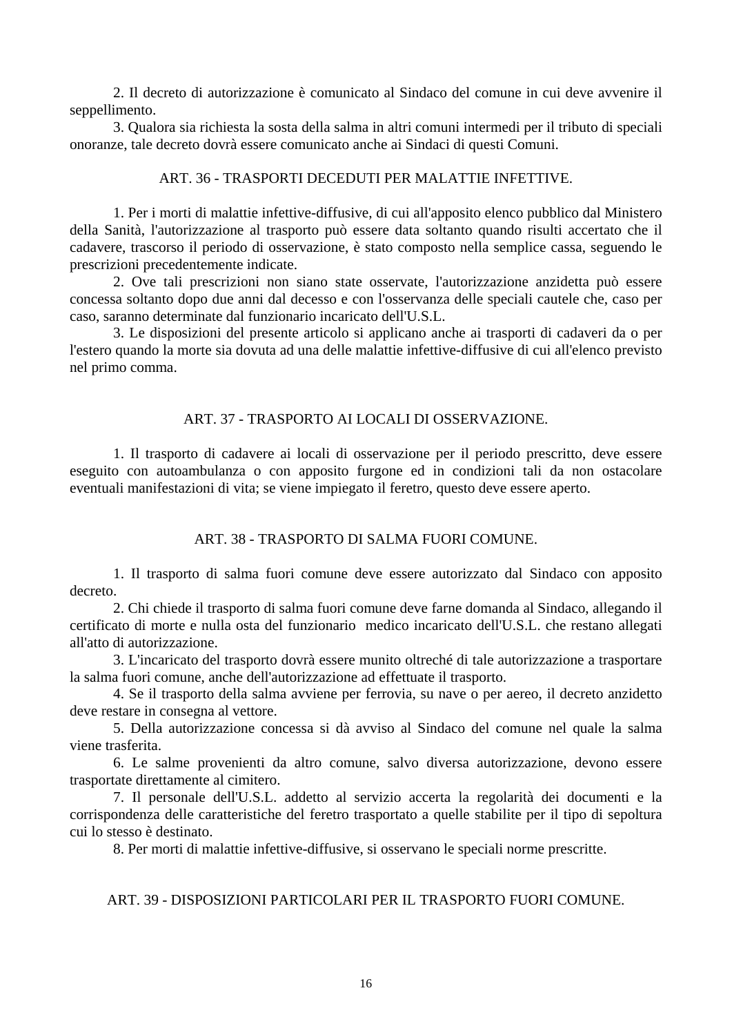<span id="page-15-0"></span> 2. Il decreto di autorizzazione è comunicato al Sindaco del comune in cui deve avvenire il seppellimento.

 3. Qualora sia richiesta la sosta della salma in altri comuni intermedi per il tributo di speciali onoranze, tale decreto dovrà essere comunicato anche ai Sindaci di questi Comuni.

#### ART. 36 - TRASPORTI DECEDUTI PER MALATTIE INFETTIVE.

 1. Per i morti di malattie infettive-diffusive, di cui all'apposito elenco pubblico dal Ministero della Sanità, l'autorizzazione al trasporto può essere data soltanto quando risulti accertato che il cadavere, trascorso il periodo di osservazione, è stato composto nella semplice cassa, seguendo le prescrizioni precedentemente indicate.

 2. Ove tali prescrizioni non siano state osservate, l'autorizzazione anzidetta può essere concessa soltanto dopo due anni dal decesso e con l'osservanza delle speciali cautele che, caso per caso, saranno determinate dal funzionario incaricato dell'U.S.L.

 3. Le disposizioni del presente articolo si applicano anche ai trasporti di cadaveri da o per l'estero quando la morte sia dovuta ad una delle malattie infettive-diffusive di cui all'elenco previsto nel primo comma.

### ART. 37 - TRASPORTO AI LOCALI DI OSSERVAZIONE.

 1. Il trasporto di cadavere ai locali di osservazione per il periodo prescritto, deve essere eseguito con autoambulanza o con apposito furgone ed in condizioni tali da non ostacolare eventuali manifestazioni di vita; se viene impiegato il feretro, questo deve essere aperto.

### ART. 38 - TRASPORTO DI SALMA FUORI COMUNE.

 1. Il trasporto di salma fuori comune deve essere autorizzato dal Sindaco con apposito decreto.

 2. Chi chiede il trasporto di salma fuori comune deve farne domanda al Sindaco, allegando il certificato di morte e nulla osta del funzionario medico incaricato dell'U.S.L. che restano allegati all'atto di autorizzazione.

 3. L'incaricato del trasporto dovrà essere munito oltreché di tale autorizzazione a trasportare la salma fuori comune, anche dell'autorizzazione ad effettuate il trasporto.

 4. Se il trasporto della salma avviene per ferrovia, su nave o per aereo, il decreto anzidetto deve restare in consegna al vettore.

 5. Della autorizzazione concessa si dà avviso al Sindaco del comune nel quale la salma viene trasferita.

 6. Le salme provenienti da altro comune, salvo diversa autorizzazione, devono essere trasportate direttamente al cimitero.

 7. Il personale dell'U.S.L. addetto al servizio accerta la regolarità dei documenti e la corrispondenza delle caratteristiche del feretro trasportato a quelle stabilite per il tipo di sepoltura cui lo stesso è destinato.

8. Per morti di malattie infettive-diffusive, si osservano le speciali norme prescritte.

## ART. 39 - DISPOSIZIONI PARTICOLARI PER IL TRASPORTO FUORI COMUNE.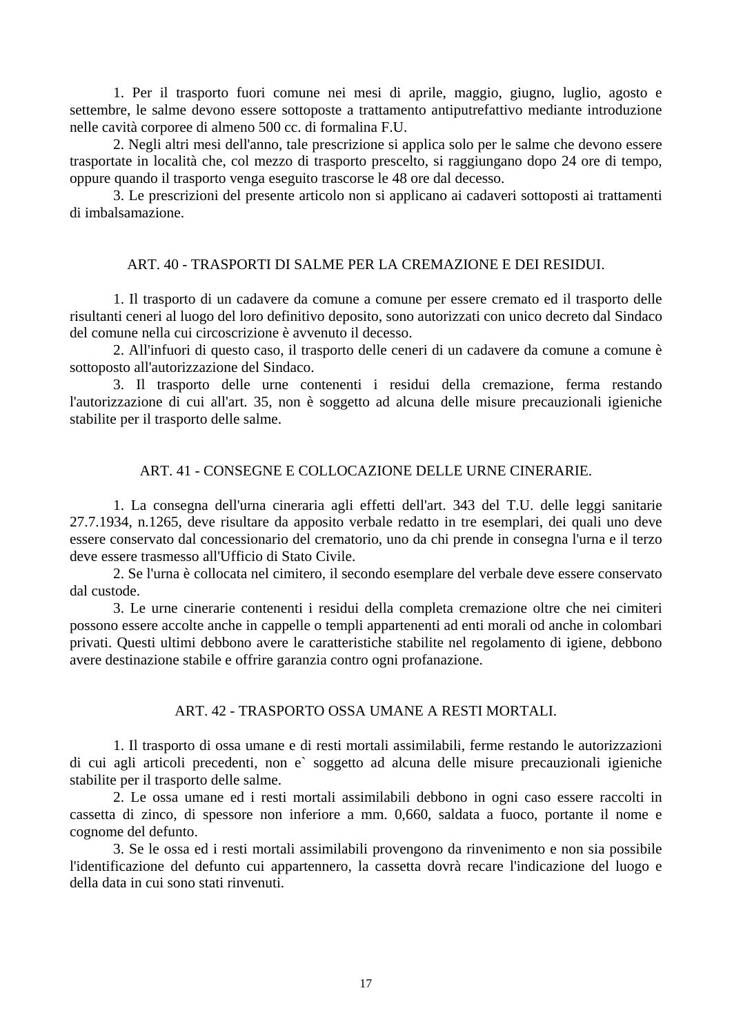<span id="page-16-0"></span> 1. Per il trasporto fuori comune nei mesi di aprile, maggio, giugno, luglio, agosto e settembre, le salme devono essere sottoposte a trattamento antiputrefattivo mediante introduzione nelle cavità corporee di almeno 500 cc. di formalina F.U.

 2. Negli altri mesi dell'anno, tale prescrizione si applica solo per le salme che devono essere trasportate in località che, col mezzo di trasporto prescelto, si raggiungano dopo 24 ore di tempo, oppure quando il trasporto venga eseguito trascorse le 48 ore dal decesso.

 3. Le prescrizioni del presente articolo non si applicano ai cadaveri sottoposti ai trattamenti di imbalsamazione.

### ART. 40 - TRASPORTI DI SALME PER LA CREMAZIONE E DEI RESIDUI.

 1. Il trasporto di un cadavere da comune a comune per essere cremato ed il trasporto delle risultanti ceneri al luogo del loro definitivo deposito, sono autorizzati con unico decreto dal Sindaco del comune nella cui circoscrizione è avvenuto il decesso.

 2. All'infuori di questo caso, il trasporto delle ceneri di un cadavere da comune a comune è sottoposto all'autorizzazione del Sindaco.

 3. Il trasporto delle urne contenenti i residui della cremazione, ferma restando l'autorizzazione di cui all'art. 35, non è soggetto ad alcuna delle misure precauzionali igieniche stabilite per il trasporto delle salme.

### ART. 41 - CONSEGNE E COLLOCAZIONE DELLE URNE CINERARIE.

 1. La consegna dell'urna cineraria agli effetti dell'art. 343 del T.U. delle leggi sanitarie 27.7.1934, n.1265, deve risultare da apposito verbale redatto in tre esemplari, dei quali uno deve essere conservato dal concessionario del crematorio, uno da chi prende in consegna l'urna e il terzo deve essere trasmesso all'Ufficio di Stato Civile.

 2. Se l'urna è collocata nel cimitero, il secondo esemplare del verbale deve essere conservato dal custode.

 3. Le urne cinerarie contenenti i residui della completa cremazione oltre che nei cimiteri possono essere accolte anche in cappelle o templi appartenenti ad enti morali od anche in colombari privati. Questi ultimi debbono avere le caratteristiche stabilite nel regolamento di igiene, debbono avere destinazione stabile e offrire garanzia contro ogni profanazione.

### ART. 42 - TRASPORTO OSSA UMANE A RESTI MORTALI.

 1. Il trasporto di ossa umane e di resti mortali assimilabili, ferme restando le autorizzazioni di cui agli articoli precedenti, non e` soggetto ad alcuna delle misure precauzionali igieniche stabilite per il trasporto delle salme.

 2. Le ossa umane ed i resti mortali assimilabili debbono in ogni caso essere raccolti in cassetta di zinco, di spessore non inferiore a mm. 0,660, saldata a fuoco, portante il nome e cognome del defunto.

 3. Se le ossa ed i resti mortali assimilabili provengono da rinvenimento e non sia possibile l'identificazione del defunto cui appartennero, la cassetta dovrà recare l'indicazione del luogo e della data in cui sono stati rinvenuti.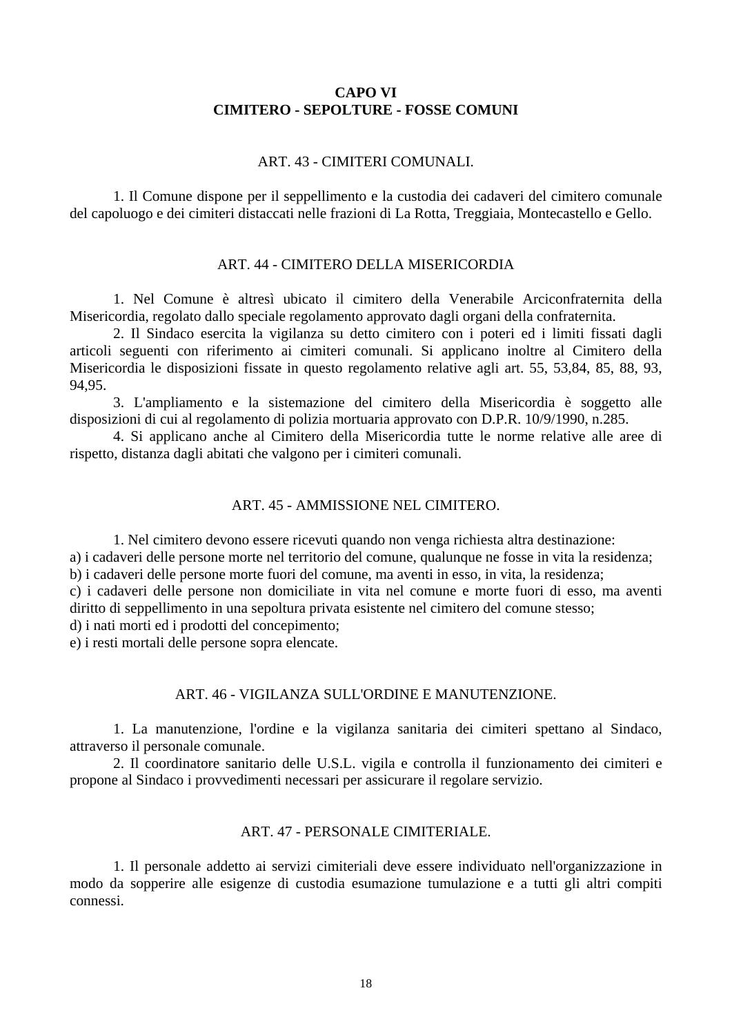## **CAPO VI CIMITERO - SEPOLTURE - FOSSE COMUNI**

#### ART. 43 - CIMITERI COMUNALI.

<span id="page-17-0"></span> 1. Il Comune dispone per il seppellimento e la custodia dei cadaveri del cimitero comunale del capoluogo e dei cimiteri distaccati nelle frazioni di La Rotta, Treggiaia, Montecastello e Gello.

#### ART. 44 - CIMITERO DELLA MISERICORDIA

 1. Nel Comune è altresì ubicato il cimitero della Venerabile Arciconfraternita della Misericordia, regolato dallo speciale regolamento approvato dagli organi della confraternita.

 2. Il Sindaco esercita la vigilanza su detto cimitero con i poteri ed i limiti fissati dagli articoli seguenti con riferimento ai cimiteri comunali. Si applicano inoltre al Cimitero della Misericordia le disposizioni fissate in questo regolamento relative agli art. 55, 53,84, 85, 88, 93, 94,95.

 3. L'ampliamento e la sistemazione del cimitero della Misericordia è soggetto alle disposizioni di cui al regolamento di polizia mortuaria approvato con D.P.R. 10/9/1990, n.285.

 4. Si applicano anche al Cimitero della Misericordia tutte le norme relative alle aree di rispetto, distanza dagli abitati che valgono per i cimiteri comunali.

### ART. 45 - AMMISSIONE NEL CIMITERO.

1. Nel cimitero devono essere ricevuti quando non venga richiesta altra destinazione:

a) i cadaveri delle persone morte nel territorio del comune, qualunque ne fosse in vita la residenza;

b) i cadaveri delle persone morte fuori del comune, ma aventi in esso, in vita, la residenza;

c) i cadaveri delle persone non domiciliate in vita nel comune e morte fuori di esso, ma aventi diritto di seppellimento in una sepoltura privata esistente nel cimitero del comune stesso;

d) i nati morti ed i prodotti del concepimento;

e) i resti mortali delle persone sopra elencate.

### ART. 46 - VIGILANZA SULL'ORDINE E MANUTENZIONE.

 1. La manutenzione, l'ordine e la vigilanza sanitaria dei cimiteri spettano al Sindaco, attraverso il personale comunale.

 2. Il coordinatore sanitario delle U.S.L. vigila e controlla il funzionamento dei cimiteri e propone al Sindaco i provvedimenti necessari per assicurare il regolare servizio.

#### ART. 47 - PERSONALE CIMITERIALE.

 1. Il personale addetto ai servizi cimiteriali deve essere individuato nell'organizzazione in modo da sopperire alle esigenze di custodia esumazione tumulazione e a tutti gli altri compiti connessi.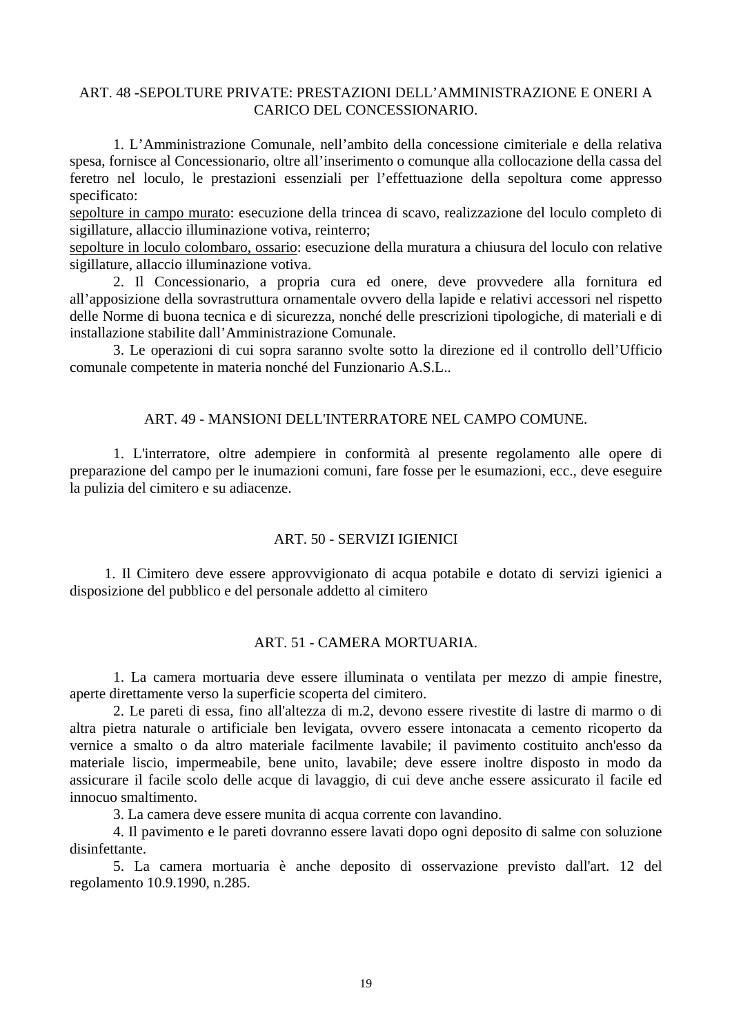## <span id="page-18-0"></span>ART. 48 -SEPOLTURE PRIVATE: PRESTAZIONI DELL'AMMINISTRAZIONE E ONERI A CARICO DEL CONCESSIONARIO.

 1. L'Amministrazione Comunale, nell'ambito della concessione cimiteriale e della relativa spesa, fornisce al Concessionario, oltre all'inserimento o comunque alla collocazione della cassa del feretro nel loculo, le prestazioni essenziali per l'effettuazione della sepoltura come appresso specificato:

sepolture in campo murato: esecuzione della trincea di scavo, realizzazione del loculo completo di sigillature, allaccio illuminazione votiva, reinterro;

sepolture in loculo colombaro, ossario: esecuzione della muratura a chiusura del loculo con relative sigillature, allaccio illuminazione votiva.

 2. Il Concessionario, a propria cura ed onere, deve provvedere alla fornitura ed all'apposizione della sovrastruttura ornamentale ovvero della lapide e relativi accessori nel rispetto delle Norme di buona tecnica e di sicurezza, nonché delle prescrizioni tipologiche, di materiali e di installazione stabilite dall'Amministrazione Comunale.

 3. Le operazioni di cui sopra saranno svolte sotto la direzione ed il controllo dell'Ufficio comunale competente in materia nonché del Funzionario A.S.L..

### ART. 49 - MANSIONI DELL'INTERRATORE NEL CAMPO COMUNE.

 1. L'interratore, oltre adempiere in conformità al presente regolamento alle opere di preparazione del campo per le inumazioni comuni, fare fosse per le esumazioni, ecc., deve eseguire la pulizia del cimitero e su adiacenze.

#### ART. 50 - SERVIZI IGIENICI

1. Il Cimitero deve essere approvvigionato di acqua potabile e dotato di servizi igienici a disposizione del pubblico e del personale addetto al cimitero

#### ART. 51 - CAMERA MORTUARIA.

 1. La camera mortuaria deve essere illuminata o ventilata per mezzo di ampie finestre, aperte direttamente verso la superficie scoperta del cimitero.

 2. Le pareti di essa, fino all'altezza di m.2, devono essere rivestite di lastre di marmo o di altra pietra naturale o artificiale ben levigata, ovvero essere intonacata a cemento ricoperto da vernice a smalto o da altro materiale facilmente lavabile; il pavimento costituito anch'esso da materiale liscio, impermeabile, bene unito, lavabile; deve essere inoltre disposto in modo da assicurare il facile scolo delle acque di lavaggio, di cui deve anche essere assicurato il facile ed innocuo smaltimento.

3. La camera deve essere munita di acqua corrente con lavandino.

 4. Il pavimento e le pareti dovranno essere lavati dopo ogni deposito di salme con soluzione disinfettante.

 5. La camera mortuaria è anche deposito di osservazione previsto dall'art. 12 del regolamento 10.9.1990, n.285.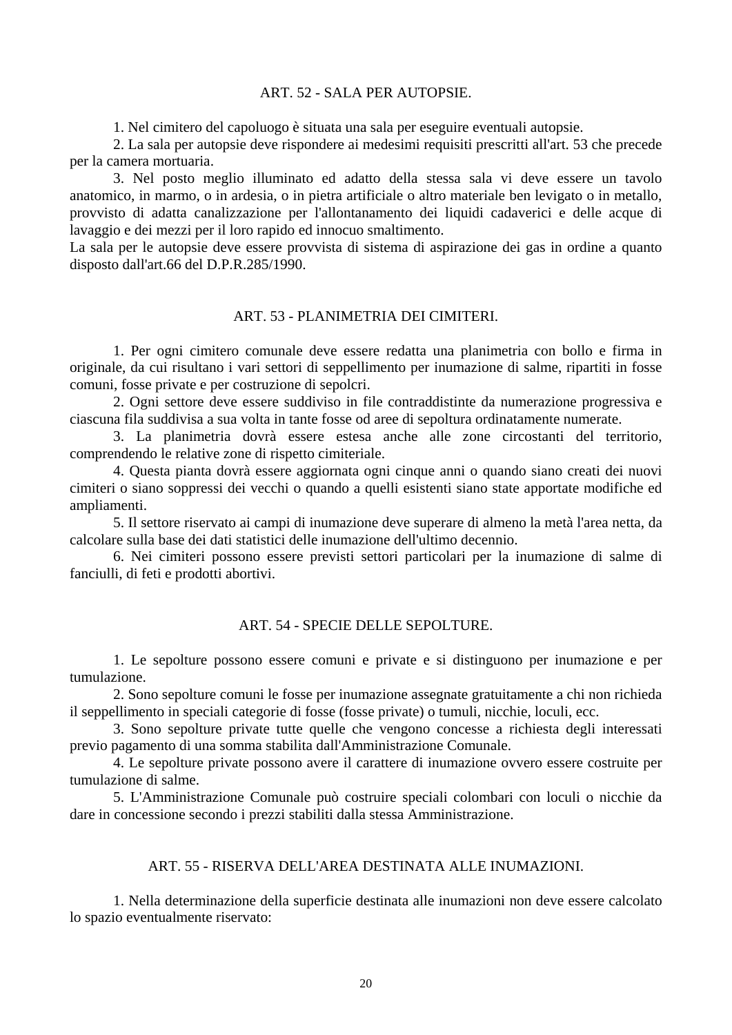### ART. 52 - SALA PER AUTOPSIE.

1. Nel cimitero del capoluogo è situata una sala per eseguire eventuali autopsie.

<span id="page-19-0"></span> 2. La sala per autopsie deve rispondere ai medesimi requisiti prescritti all'art. 53 che precede per la camera mortuaria.

 3. Nel posto meglio illuminato ed adatto della stessa sala vi deve essere un tavolo anatomico, in marmo, o in ardesia, o in pietra artificiale o altro materiale ben levigato o in metallo, provvisto di adatta canalizzazione per l'allontanamento dei liquidi cadaverici e delle acque di lavaggio e dei mezzi per il loro rapido ed innocuo smaltimento.

La sala per le autopsie deve essere provvista di sistema di aspirazione dei gas in ordine a quanto disposto dall'art.66 del D.P.R.285/1990.

### ART. 53 - PLANIMETRIA DEI CIMITERI.

 1. Per ogni cimitero comunale deve essere redatta una planimetria con bollo e firma in originale, da cui risultano i vari settori di seppellimento per inumazione di salme, ripartiti in fosse comuni, fosse private e per costruzione di sepolcri.

 2. Ogni settore deve essere suddiviso in file contraddistinte da numerazione progressiva e ciascuna fila suddivisa a sua volta in tante fosse od aree di sepoltura ordinatamente numerate.

 3. La planimetria dovrà essere estesa anche alle zone circostanti del territorio, comprendendo le relative zone di rispetto cimiteriale.

 4. Questa pianta dovrà essere aggiornata ogni cinque anni o quando siano creati dei nuovi cimiteri o siano soppressi dei vecchi o quando a quelli esistenti siano state apportate modifiche ed ampliamenti.

 5. Il settore riservato ai campi di inumazione deve superare di almeno la metà l'area netta, da calcolare sulla base dei dati statistici delle inumazione dell'ultimo decennio.

 6. Nei cimiteri possono essere previsti settori particolari per la inumazione di salme di fanciulli, di feti e prodotti abortivi.

### ART. 54 - SPECIE DELLE SEPOLTURE.

 1. Le sepolture possono essere comuni e private e si distinguono per inumazione e per tumulazione.

 2. Sono sepolture comuni le fosse per inumazione assegnate gratuitamente a chi non richieda il seppellimento in speciali categorie di fosse (fosse private) o tumuli, nicchie, loculi, ecc.

 3. Sono sepolture private tutte quelle che vengono concesse a richiesta degli interessati previo pagamento di una somma stabilita dall'Amministrazione Comunale.

 4. Le sepolture private possono avere il carattere di inumazione ovvero essere costruite per tumulazione di salme.

 5. L'Amministrazione Comunale può costruire speciali colombari con loculi o nicchie da dare in concessione secondo i prezzi stabiliti dalla stessa Amministrazione.

#### ART. 55 - RISERVA DELL'AREA DESTINATA ALLE INUMAZIONI.

 1. Nella determinazione della superficie destinata alle inumazioni non deve essere calcolato lo spazio eventualmente riservato: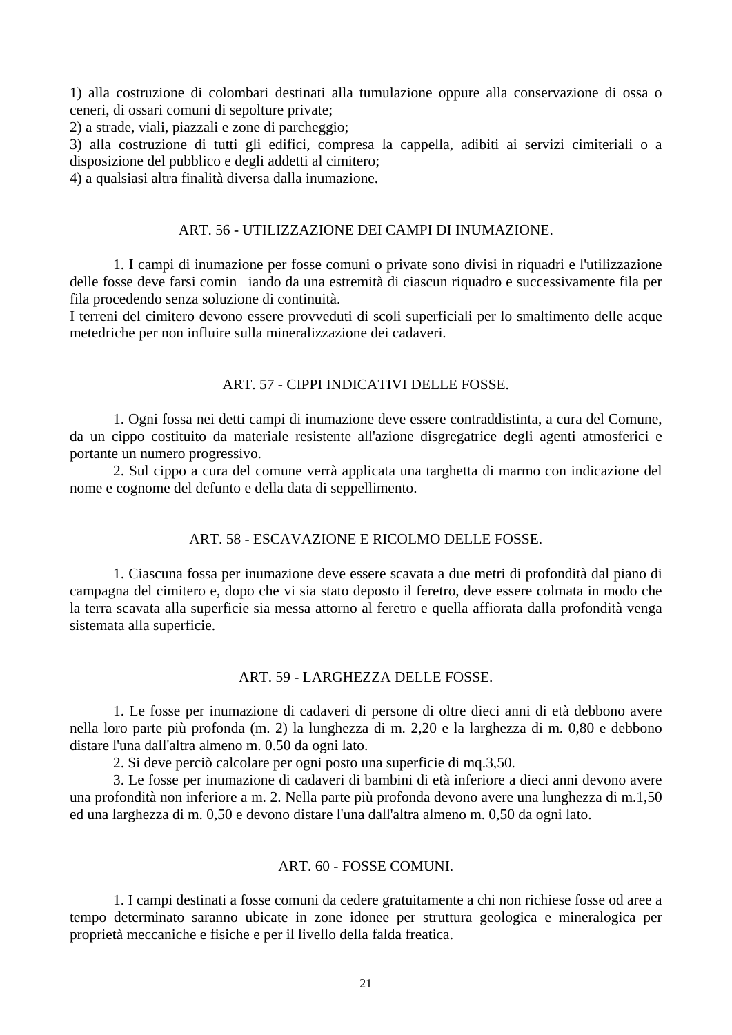<span id="page-20-0"></span>1) alla costruzione di colombari destinati alla tumulazione oppure alla conservazione di ossa o ceneri, di ossari comuni di sepolture private;

2) a strade, viali, piazzali e zone di parcheggio;

3) alla costruzione di tutti gli edifici, compresa la cappella, adibiti ai servizi cimiteriali o a disposizione del pubblico e degli addetti al cimitero;

4) a qualsiasi altra finalità diversa dalla inumazione.

### ART. 56 - UTILIZZAZIONE DEI CAMPI DI INUMAZIONE.

 1. I campi di inumazione per fosse comuni o private sono divisi in riquadri e l'utilizzazione delle fosse deve farsi cominiando da una estremità di ciascun riquadro e successivamente fila per fila procedendo senza soluzione di continuità.

I terreni del cimitero devono essere provveduti di scoli superficiali per lo smaltimento delle acque metedriche per non influire sulla mineralizzazione dei cadaveri.

### ART. 57 - CIPPI INDICATIVI DELLE FOSSE.

 1. Ogni fossa nei detti campi di inumazione deve essere contraddistinta, a cura del Comune, da un cippo costituito da materiale resistente all'azione disgregatrice degli agenti atmosferici e portante un numero progressivo.

 2. Sul cippo a cura del comune verrà applicata una targhetta di marmo con indicazione del nome e cognome del defunto e della data di seppellimento.

### ART. 58 - ESCAVAZIONE E RICOLMO DELLE FOSSE.

 1. Ciascuna fossa per inumazione deve essere scavata a due metri di profondità dal piano di campagna del cimitero e, dopo che vi sia stato deposto il feretro, deve essere colmata in modo che la terra scavata alla superficie sia messa attorno al feretro e quella affiorata dalla profondità venga sistemata alla superficie.

#### ART. 59 - LARGHEZZA DELLE FOSSE.

 1. Le fosse per inumazione di cadaveri di persone di oltre dieci anni di età debbono avere nella loro parte più profonda (m. 2) la lunghezza di m. 2,20 e la larghezza di m. 0,80 e debbono distare l'una dall'altra almeno m. 0.50 da ogni lato.

2. Si deve perciò calcolare per ogni posto una superficie di mq.3,50.

 3. Le fosse per inumazione di cadaveri di bambini di età inferiore a dieci anni devono avere una profondità non inferiore a m. 2. Nella parte più profonda devono avere una lunghezza di m.1,50 ed una larghezza di m. 0,50 e devono distare l'una dall'altra almeno m. 0,50 da ogni lato.

#### ART. 60 - FOSSE COMUNI.

 1. I campi destinati a fosse comuni da cedere gratuitamente a chi non richiese fosse od aree a tempo determinato saranno ubicate in zone idonee per struttura geologica e mineralogica per proprietà meccaniche e fisiche e per il livello della falda freatica.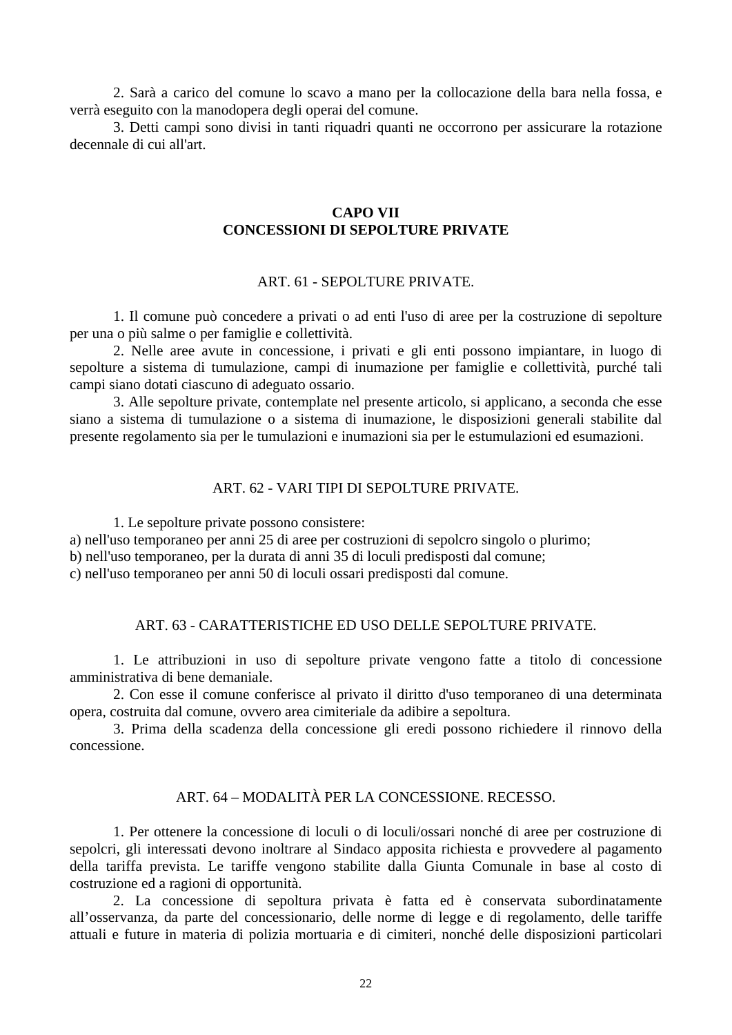<span id="page-21-0"></span> 2. Sarà a carico del comune lo scavo a mano per la collocazione della bara nella fossa, e verrà eseguito con la manodopera degli operai del comune.

 3. Detti campi sono divisi in tanti riquadri quanti ne occorrono per assicurare la rotazione decennale di cui all'art.

#### **CAPO VII CONCESSIONI DI SEPOLTURE PRIVATE**

### ART. 61 - SEPOLTURE PRIVATE.

 1. Il comune può concedere a privati o ad enti l'uso di aree per la costruzione di sepolture per una o più salme o per famiglie e collettività.

 2. Nelle aree avute in concessione, i privati e gli enti possono impiantare, in luogo di sepolture a sistema di tumulazione, campi di inumazione per famiglie e collettività, purché tali campi siano dotati ciascuno di adeguato ossario.

 3. Alle sepolture private, contemplate nel presente articolo, si applicano, a seconda che esse siano a sistema di tumulazione o a sistema di inumazione, le disposizioni generali stabilite dal presente regolamento sia per le tumulazioni e inumazioni sia per le estumulazioni ed esumazioni.

#### ART. 62 - VARI TIPI DI SEPOLTURE PRIVATE.

1. Le sepolture private possono consistere:

a) nell'uso temporaneo per anni 25 di aree per costruzioni di sepolcro singolo o plurimo;

b) nell'uso temporaneo, per la durata di anni 35 di loculi predisposti dal comune;

c) nell'uso temporaneo per anni 50 di loculi ossari predisposti dal comune.

#### ART. 63 - CARATTERISTICHE ED USO DELLE SEPOLTURE PRIVATE.

 1. Le attribuzioni in uso di sepolture private vengono fatte a titolo di concessione amministrativa di bene demaniale.

 2. Con esse il comune conferisce al privato il diritto d'uso temporaneo di una determinata opera, costruita dal comune, ovvero area cimiteriale da adibire a sepoltura.

 3. Prima della scadenza della concessione gli eredi possono richiedere il rinnovo della concessione.

## ART. 64 – MODALITÀ PER LA CONCESSIONE. RECESSO.

1. Per ottenere la concessione di loculi o di loculi/ossari nonché di aree per costruzione di sepolcri, gli interessati devono inoltrare al Sindaco apposita richiesta e provvedere al pagamento della tariffa prevista. Le tariffe vengono stabilite dalla Giunta Comunale in base al costo di costruzione ed a ragioni di opportunità.

2. La concessione di sepoltura privata è fatta ed è conservata subordinatamente all'osservanza, da parte del concessionario, delle norme di legge e di regolamento, delle tariffe attuali e future in materia di polizia mortuaria e di cimiteri, nonché delle disposizioni particolari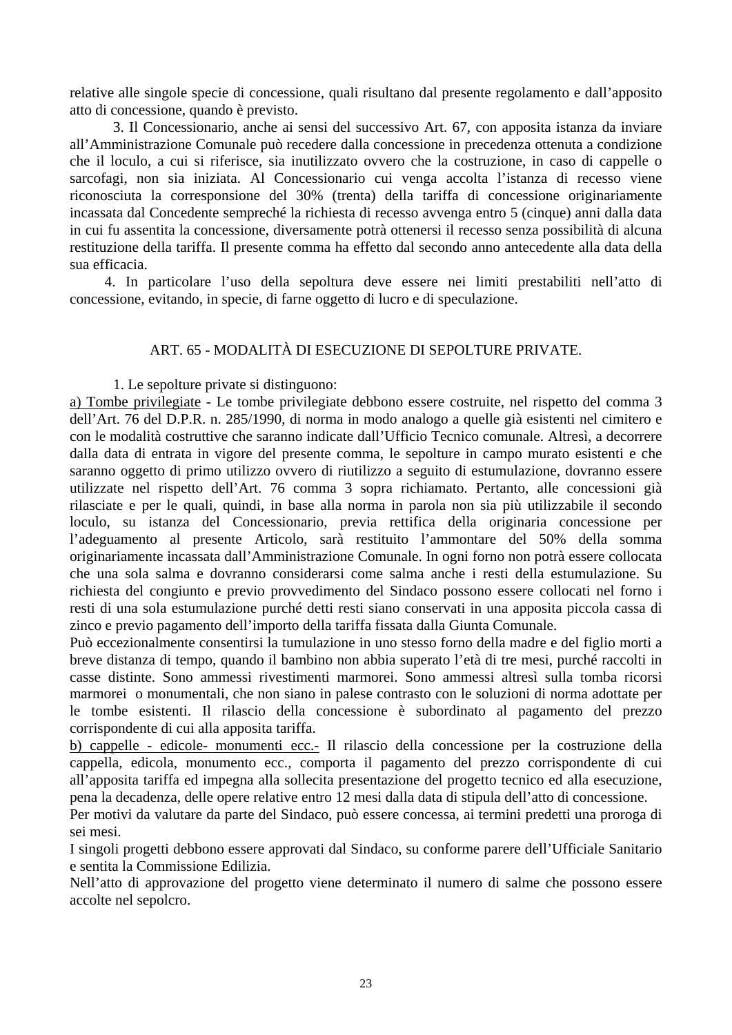<span id="page-22-0"></span>relative alle singole specie di concessione, quali risultano dal presente regolamento e dall'apposito atto di concessione, quando è previsto.

3. Il Concessionario, anche ai sensi del successivo Art. 67, con apposita istanza da inviare all'Amministrazione Comunale può recedere dalla concessione in precedenza ottenuta a condizione che il loculo, a cui si riferisce, sia inutilizzato ovvero che la costruzione, in caso di cappelle o sarcofagi, non sia iniziata. Al Concessionario cui venga accolta l'istanza di recesso viene riconosciuta la corresponsione del 30% (trenta) della tariffa di concessione originariamente incassata dal Concedente sempreché la richiesta di recesso avvenga entro 5 (cinque) anni dalla data in cui fu assentita la concessione, diversamente potrà ottenersi il recesso senza possibilità di alcuna restituzione della tariffa. Il presente comma ha effetto dal secondo anno antecedente alla data della sua efficacia.

4. In particolare l'uso della sepoltura deve essere nei limiti prestabiliti nell'atto di concessione, evitando, in specie, di farne oggetto di lucro e di speculazione.

## ART. 65 - MODALITÀ DI ESECUZIONE DI SEPOLTURE PRIVATE.

1. Le sepolture private si distinguono:

a) Tombe privilegiate - Le tombe privilegiate debbono essere costruite, nel rispetto del comma 3 dell'Art. 76 del D.P.R. n. 285/1990, di norma in modo analogo a quelle già esistenti nel cimitero e con le modalità costruttive che saranno indicate dall'Ufficio Tecnico comunale. Altresì, a decorrere dalla data di entrata in vigore del presente comma, le sepolture in campo murato esistenti e che saranno oggetto di primo utilizzo ovvero di riutilizzo a seguito di estumulazione, dovranno essere utilizzate nel rispetto dell'Art. 76 comma 3 sopra richiamato. Pertanto, alle concessioni già rilasciate e per le quali, quindi, in base alla norma in parola non sia più utilizzabile il secondo loculo, su istanza del Concessionario, previa rettifica della originaria concessione per l'adeguamento al presente Articolo, sarà restituito l'ammontare del 50% della somma originariamente incassata dall'Amministrazione Comunale. In ogni forno non potrà essere collocata che una sola salma e dovranno considerarsi come salma anche i resti della estumulazione. Su richiesta del congiunto e previo provvedimento del Sindaco possono essere collocati nel forno i resti di una sola estumulazione purché detti resti siano conservati in una apposita piccola cassa di zinco e previo pagamento dell'importo della tariffa fissata dalla Giunta Comunale.

Può eccezionalmente consentirsi la tumulazione in uno stesso forno della madre e del figlio morti a breve distanza di tempo, quando il bambino non abbia superato l'età di tre mesi, purché raccolti in casse distinte. Sono ammessi rivestimenti marmorei. Sono ammessi altresì sulla tomba ricorsi marmorei o monumentali, che non siano in palese contrasto con le soluzioni di norma adottate per le tombe esistenti. Il rilascio della concessione è subordinato al pagamento del prezzo corrispondente di cui alla apposita tariffa.

b) cappelle - edicole- monumenti ecc.- Il rilascio della concessione per la costruzione della cappella, edicola, monumento ecc., comporta il pagamento del prezzo corrispondente di cui all'apposita tariffa ed impegna alla sollecita presentazione del progetto tecnico ed alla esecuzione, pena la decadenza, delle opere relative entro 12 mesi dalla data di stipula dell'atto di concessione.

Per motivi da valutare da parte del Sindaco, può essere concessa, ai termini predetti una proroga di sei mesi.

I singoli progetti debbono essere approvati dal Sindaco, su conforme parere dell'Ufficiale Sanitario e sentita la Commissione Edilizia.

Nell'atto di approvazione del progetto viene determinato il numero di salme che possono essere accolte nel sepolcro.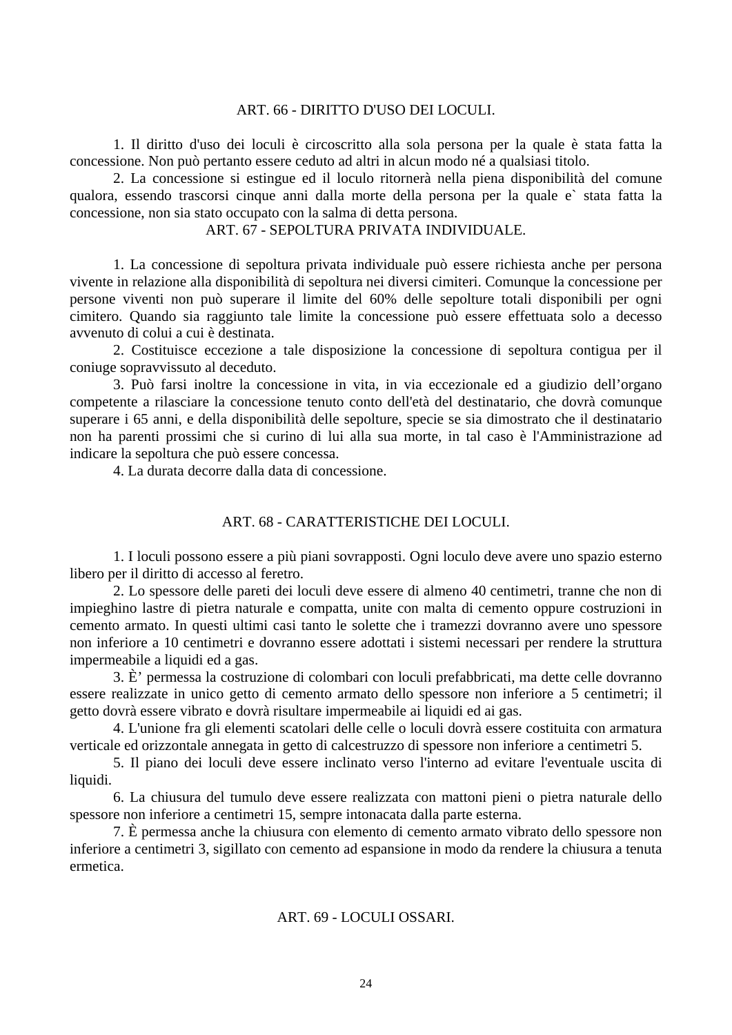#### ART. 66 - DIRITTO D'USO DEI LOCULI.

<span id="page-23-0"></span> 1. Il diritto d'uso dei loculi è circoscritto alla sola persona per la quale è stata fatta la concessione. Non può pertanto essere ceduto ad altri in alcun modo né a qualsiasi titolo.

 2. La concessione si estingue ed il loculo ritornerà nella piena disponibilità del comune qualora, essendo trascorsi cinque anni dalla morte della persona per la quale e` stata fatta la concessione, non sia stato occupato con la salma di detta persona.

## ART. 67 - SEPOLTURA PRIVATA INDIVIDUALE.

 1. La concessione di sepoltura privata individuale può essere richiesta anche per persona vivente in relazione alla disponibilità di sepoltura nei diversi cimiteri. Comunque la concessione per persone viventi non può superare il limite del 60% delle sepolture totali disponibili per ogni cimitero. Quando sia raggiunto tale limite la concessione può essere effettuata solo a decesso avvenuto di colui a cui è destinata.

 2. Costituisce eccezione a tale disposizione la concessione di sepoltura contigua per il coniuge sopravvissuto al deceduto.

 3. Può farsi inoltre la concessione in vita, in via eccezionale ed a giudizio dell'organo competente a rilasciare la concessione tenuto conto dell'età del destinatario, che dovrà comunque superare i 65 anni, e della disponibilità delle sepolture, specie se sia dimostrato che il destinatario non ha parenti prossimi che si curino di lui alla sua morte, in tal caso è l'Amministrazione ad indicare la sepoltura che può essere concessa.

4. La durata decorre dalla data di concessione.

### ART. 68 - CARATTERISTICHE DEI LOCULI.

 1. I loculi possono essere a più piani sovrapposti. Ogni loculo deve avere uno spazio esterno libero per il diritto di accesso al feretro.

 2. Lo spessore delle pareti dei loculi deve essere di almeno 40 centimetri, tranne che non di impieghino lastre di pietra naturale e compatta, unite con malta di cemento oppure costruzioni in cemento armato. In questi ultimi casi tanto le solette che i tramezzi dovranno avere uno spessore non inferiore a 10 centimetri e dovranno essere adottati i sistemi necessari per rendere la struttura impermeabile a liquidi ed a gas.

 3. È' permessa la costruzione di colombari con loculi prefabbricati, ma dette celle dovranno essere realizzate in unico getto di cemento armato dello spessore non inferiore a 5 centimetri; il getto dovrà essere vibrato e dovrà risultare impermeabile ai liquidi ed ai gas.

 4. L'unione fra gli elementi scatolari delle celle o loculi dovrà essere costituita con armatura verticale ed orizzontale annegata in getto di calcestruzzo di spessore non inferiore a centimetri 5.

 5. Il piano dei loculi deve essere inclinato verso l'interno ad evitare l'eventuale uscita di liquidi.

 6. La chiusura del tumulo deve essere realizzata con mattoni pieni o pietra naturale dello spessore non inferiore a centimetri 15, sempre intonacata dalla parte esterna.

 7. È permessa anche la chiusura con elemento di cemento armato vibrato dello spessore non inferiore a centimetri 3, sigillato con cemento ad espansione in modo da rendere la chiusura a tenuta ermetica.

#### ART. 69 - LOCULI OSSARI.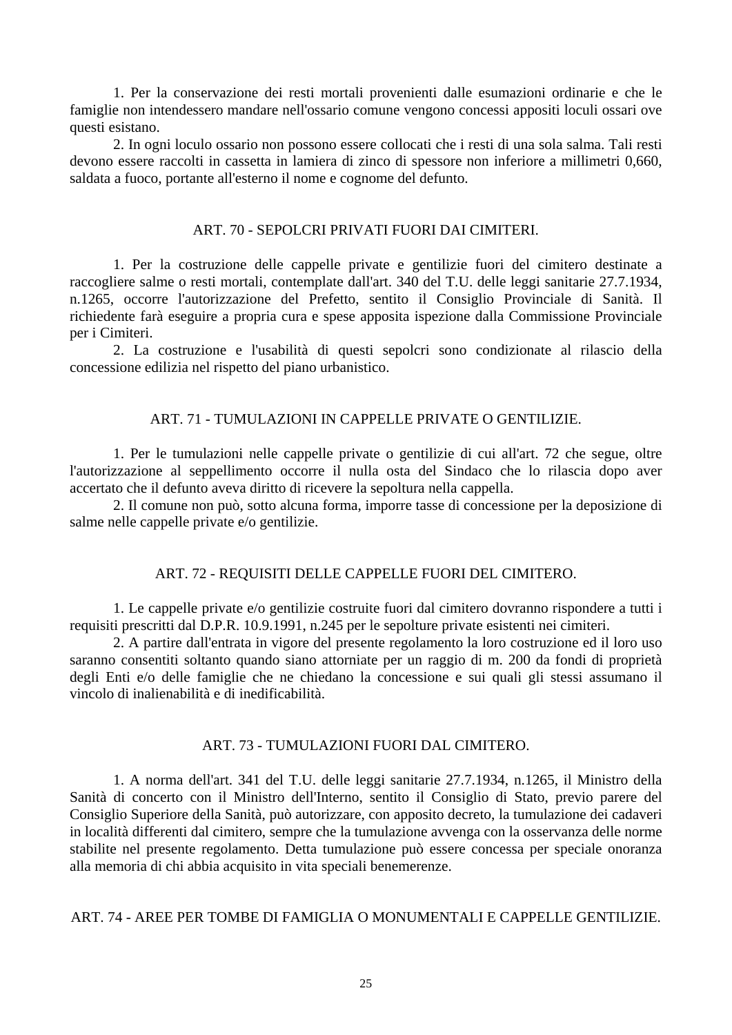<span id="page-24-0"></span> 1. Per la conservazione dei resti mortali provenienti dalle esumazioni ordinarie e che le famiglie non intendessero mandare nell'ossario comune vengono concessi appositi loculi ossari ove questi esistano.

 2. In ogni loculo ossario non possono essere collocati che i resti di una sola salma. Tali resti devono essere raccolti in cassetta in lamiera di zinco di spessore non inferiore a millimetri 0,660, saldata a fuoco, portante all'esterno il nome e cognome del defunto.

### ART. 70 - SEPOLCRI PRIVATI FUORI DAI CIMITERI.

 1. Per la costruzione delle cappelle private e gentilizie fuori del cimitero destinate a raccogliere salme o resti mortali, contemplate dall'art. 340 del T.U. delle leggi sanitarie 27.7.1934, n.1265, occorre l'autorizzazione del Prefetto, sentito il Consiglio Provinciale di Sanità. Il richiedente farà eseguire a propria cura e spese apposita ispezione dalla Commissione Provinciale per i Cimiteri.

 2. La costruzione e l'usabilità di questi sepolcri sono condizionate al rilascio della concessione edilizia nel rispetto del piano urbanistico.

### ART. 71 - TUMULAZIONI IN CAPPELLE PRIVATE O GENTILIZIE.

 1. Per le tumulazioni nelle cappelle private o gentilizie di cui all'art. 72 che segue, oltre l'autorizzazione al seppellimento occorre il nulla osta del Sindaco che lo rilascia dopo aver accertato che il defunto aveva diritto di ricevere la sepoltura nella cappella.

 2. Il comune non può, sotto alcuna forma, imporre tasse di concessione per la deposizione di salme nelle cappelle private e/o gentilizie.

### ART. 72 - REQUISITI DELLE CAPPELLE FUORI DEL CIMITERO.

 1. Le cappelle private e/o gentilizie costruite fuori dal cimitero dovranno rispondere a tutti i requisiti prescritti dal D.P.R. 10.9.1991, n.245 per le sepolture private esistenti nei cimiteri.

 2. A partire dall'entrata in vigore del presente regolamento la loro costruzione ed il loro uso saranno consentiti soltanto quando siano attorniate per un raggio di m. 200 da fondi di proprietà degli Enti e/o delle famiglie che ne chiedano la concessione e sui quali gli stessi assumano il vincolo di inalienabilità e di inedificabilità.

### ART. 73 - TUMULAZIONI FUORI DAL CIMITERO.

 1. A norma dell'art. 341 del T.U. delle leggi sanitarie 27.7.1934, n.1265, il Ministro della Sanità di concerto con il Ministro dell'Interno, sentito il Consiglio di Stato, previo parere del Consiglio Superiore della Sanità, può autorizzare, con apposito decreto, la tumulazione dei cadaveri in località differenti dal cimitero, sempre che la tumulazione avvenga con la osservanza delle norme stabilite nel presente regolamento. Detta tumulazione può essere concessa per speciale onoranza alla memoria di chi abbia acquisito in vita speciali benemerenze.

### ART. 74 - AREE PER TOMBE DI FAMIGLIA O MONUMENTALI E CAPPELLE GENTILIZIE.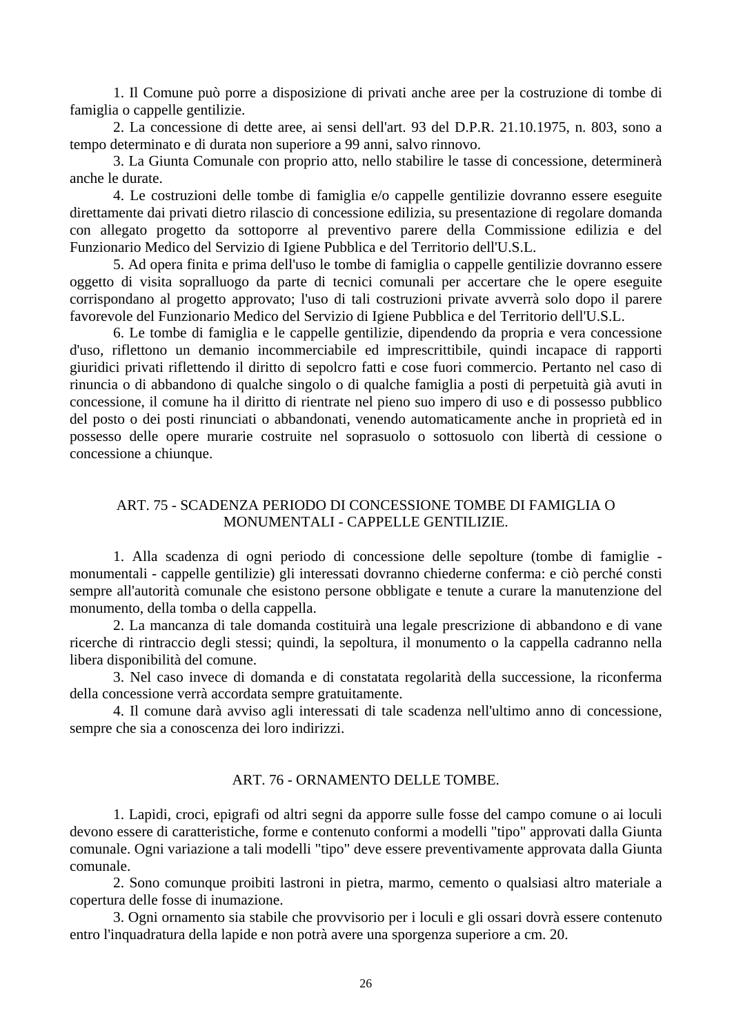<span id="page-25-0"></span> 1. Il Comune può porre a disposizione di privati anche aree per la costruzione di tombe di famiglia o cappelle gentilizie.

 2. La concessione di dette aree, ai sensi dell'art. 93 del D.P.R. 21.10.1975, n. 803, sono a tempo determinato e di durata non superiore a 99 anni, salvo rinnovo.

 3. La Giunta Comunale con proprio atto, nello stabilire le tasse di concessione, determinerà anche le durate.

 4. Le costruzioni delle tombe di famiglia e/o cappelle gentilizie dovranno essere eseguite direttamente dai privati dietro rilascio di concessione edilizia, su presentazione di regolare domanda con allegato progetto da sottoporre al preventivo parere della Commissione edilizia e del Funzionario Medico del Servizio di Igiene Pubblica e del Territorio dell'U.S.L.

 5. Ad opera finita e prima dell'uso le tombe di famiglia o cappelle gentilizie dovranno essere oggetto di visita sopralluogo da parte di tecnici comunali per accertare che le opere eseguite corrispondano al progetto approvato; l'uso di tali costruzioni private avverrà solo dopo il parere favorevole del Funzionario Medico del Servizio di Igiene Pubblica e del Territorio dell'U.S.L.

 6. Le tombe di famiglia e le cappelle gentilizie, dipendendo da propria e vera concessione d'uso, riflettono un demanio incommerciabile ed imprescrittibile, quindi incapace di rapporti giuridici privati riflettendo il diritto di sepolcro fatti e cose fuori commercio. Pertanto nel caso di rinuncia o di abbandono di qualche singolo o di qualche famiglia a posti di perpetuità già avuti in concessione, il comune ha il diritto di rientrate nel pieno suo impero di uso e di possesso pubblico del posto o dei posti rinunciati o abbandonati, venendo automaticamente anche in proprietà ed in possesso delle opere murarie costruite nel soprasuolo o sottosuolo con libertà di cessione o concessione a chiunque.

## ART. 75 - SCADENZA PERIODO DI CONCESSIONE TOMBE DI FAMIGLIA O MONUMENTALI - CAPPELLE GENTILIZIE.

 1. Alla scadenza di ogni periodo di concessione delle sepolture (tombe di famiglie monumentali - cappelle gentilizie) gli interessati dovranno chiederne conferma: e ciò perché consti sempre all'autorità comunale che esistono persone obbligate e tenute a curare la manutenzione del monumento, della tomba o della cappella.

 2. La mancanza di tale domanda costituirà una legale prescrizione di abbandono e di vane ricerche di rintraccio degli stessi; quindi, la sepoltura, il monumento o la cappella cadranno nella libera disponibilità del comune.

 3. Nel caso invece di domanda e di constatata regolarità della successione, la riconferma della concessione verrà accordata sempre gratuitamente.

 4. Il comune darà avviso agli interessati di tale scadenza nell'ultimo anno di concessione, sempre che sia a conoscenza dei loro indirizzi.

### ART. 76 - ORNAMENTO DELLE TOMBE.

 1. Lapidi, croci, epigrafi od altri segni da apporre sulle fosse del campo comune o ai loculi devono essere di caratteristiche, forme e contenuto conformi a modelli "tipo" approvati dalla Giunta comunale. Ogni variazione a tali modelli "tipo" deve essere preventivamente approvata dalla Giunta comunale.

 2. Sono comunque proibiti lastroni in pietra, marmo, cemento o qualsiasi altro materiale a copertura delle fosse di inumazione.

 3. Ogni ornamento sia stabile che provvisorio per i loculi e gli ossari dovrà essere contenuto entro l'inquadratura della lapide e non potrà avere una sporgenza superiore a cm. 20.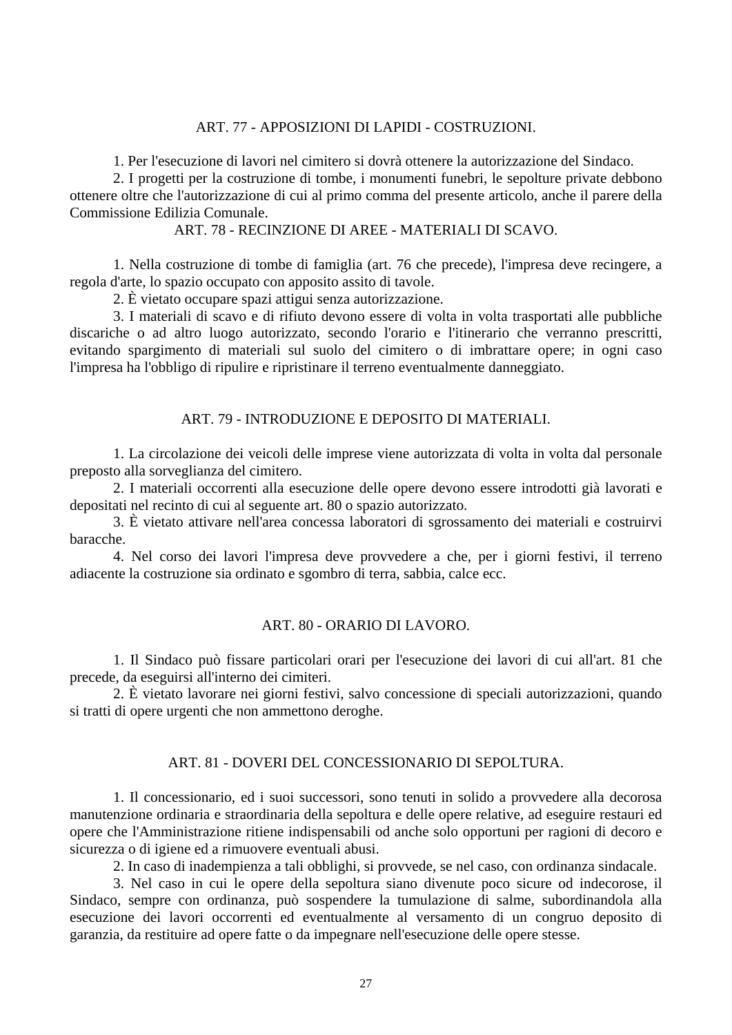#### ART. 77 - APPOSIZIONI DI LAPIDI - COSTRUZIONI.

1. Per l'esecuzione di lavori nel cimitero si dovrà ottenere la autorizzazione del Sindaco.

<span id="page-26-0"></span> 2. I progetti per la costruzione di tombe, i monumenti funebri, le sepolture private debbono ottenere oltre che l'autorizzazione di cui al primo comma del presente articolo, anche il parere della Commissione Edilizia Comunale.

## ART. 78 - RECINZIONE DI AREE - MATERIALI DI SCAVO.

 1. Nella costruzione di tombe di famiglia (art. 76 che precede), l'impresa deve recingere, a regola d'arte, lo spazio occupato con apposito assito di tavole.

2. È vietato occupare spazi attigui senza autorizzazione.

 3. I materiali di scavo e di rifiuto devono essere di volta in volta trasportati alle pubbliche discariche o ad altro luogo autorizzato, secondo l'orario e l'itinerario che verranno prescritti, evitando spargimento di materiali sul suolo del cimitero o di imbrattare opere; in ogni caso l'impresa ha l'obbligo di ripulire e ripristinare il terreno eventualmente danneggiato.

#### ART. 79 - INTRODUZIONE E DEPOSITO DI MATERIALI.

 1. La circolazione dei veicoli delle imprese viene autorizzata di volta in volta dal personale preposto alla sorveglianza del cimitero.

 2. I materiali occorrenti alla esecuzione delle opere devono essere introdotti già lavorati e depositati nel recinto di cui al seguente art. 80 o spazio autorizzato.

 3. È vietato attivare nell'area concessa laboratori di sgrossamento dei materiali e costruirvi baracche.

 4. Nel corso dei lavori l'impresa deve provvedere a che, per i giorni festivi, il terreno adiacente la costruzione sia ordinato e sgombro di terra, sabbia, calce ecc.

### ART. 80 - ORARIO DI LAVORO.

 1. Il Sindaco può fissare particolari orari per l'esecuzione dei lavori di cui all'art. 81 che precede, da eseguirsi all'interno dei cimiteri.

 2. È vietato lavorare nei giorni festivi, salvo concessione di speciali autorizzazioni, quando si tratti di opere urgenti che non ammettono deroghe.

## ART. 81 - DOVERI DEL CONCESSIONARIO DI SEPOLTURA.

 1. Il concessionario, ed i suoi successori, sono tenuti in solido a provvedere alla decorosa manutenzione ordinaria e straordinaria della sepoltura e delle opere relative, ad eseguire restauri ed opere che l'Amministrazione ritiene indispensabili od anche solo opportuni per ragioni di decoro e sicurezza o di igiene ed a rimuovere eventuali abusi.

2. In caso di inadempienza a tali obblighi, si provvede, se nel caso, con ordinanza sindacale.

 3. Nel caso in cui le opere della sepoltura siano divenute poco sicure od indecorose, il Sindaco, sempre con ordinanza, può sospendere la tumulazione di salme, subordinandola alla esecuzione dei lavori occorrenti ed eventualmente al versamento di un congruo deposito di garanzia, da restituire ad opere fatte o da impegnare nell'esecuzione delle opere stesse.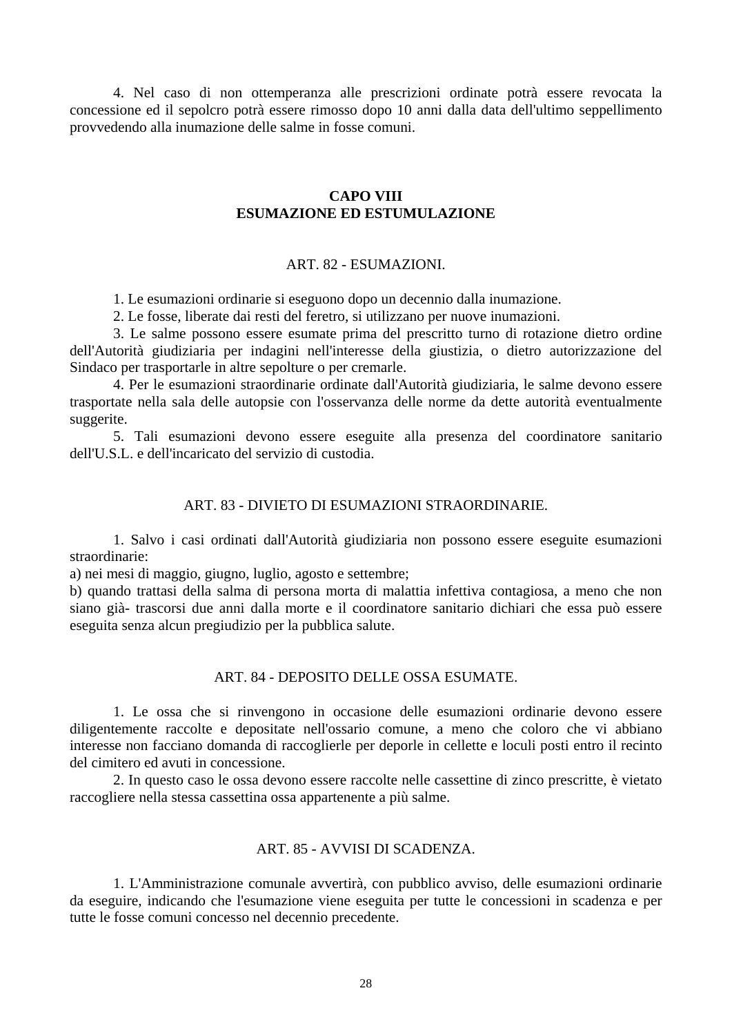<span id="page-27-0"></span> 4. Nel caso di non ottemperanza alle prescrizioni ordinate potrà essere revocata la concessione ed il sepolcro potrà essere rimosso dopo 10 anni dalla data dell'ultimo seppellimento provvedendo alla inumazione delle salme in fosse comuni.

## **CAPO VIII ESUMAZIONE ED ESTUMULAZIONE**

#### ART. 82 - ESUMAZIONI.

1. Le esumazioni ordinarie si eseguono dopo un decennio dalla inumazione.

2. Le fosse, liberate dai resti del feretro, si utilizzano per nuove inumazioni.

 3. Le salme possono essere esumate prima del prescritto turno di rotazione dietro ordine dell'Autorità giudiziaria per indagini nell'interesse della giustizia, o dietro autorizzazione del Sindaco per trasportarle in altre sepolture o per cremarle.

 4. Per le esumazioni straordinarie ordinate dall'Autorità giudiziaria, le salme devono essere trasportate nella sala delle autopsie con l'osservanza delle norme da dette autorità eventualmente suggerite.

 5. Tali esumazioni devono essere eseguite alla presenza del coordinatore sanitario dell'U.S.L. e dell'incaricato del servizio di custodia.

#### ART. 83 - DIVIETO DI ESUMAZIONI STRAORDINARIE.

 1. Salvo i casi ordinati dall'Autorità giudiziaria non possono essere eseguite esumazioni straordinarie:

a) nei mesi di maggio, giugno, luglio, agosto e settembre;

b) quando trattasi della salma di persona morta di malattia infettiva contagiosa, a meno che non siano già- trascorsi due anni dalla morte e il coordinatore sanitario dichiari che essa può essere eseguita senza alcun pregiudizio per la pubblica salute.

#### ART. 84 - DEPOSITO DELLE OSSA ESUMATE.

 1. Le ossa che si rinvengono in occasione delle esumazioni ordinarie devono essere diligentemente raccolte e depositate nell'ossario comune, a meno che coloro che vi abbiano interesse non facciano domanda di raccoglierle per deporle in cellette e loculi posti entro il recinto del cimitero ed avuti in concessione.

 2. In questo caso le ossa devono essere raccolte nelle cassettine di zinco prescritte, è vietato raccogliere nella stessa cassettina ossa appartenente a più salme.

#### ART. 85 - AVVISI DI SCADENZA.

 1. L'Amministrazione comunale avvertirà, con pubblico avviso, delle esumazioni ordinarie da eseguire, indicando che l'esumazione viene eseguita per tutte le concessioni in scadenza e per tutte le fosse comuni concesso nel decennio precedente.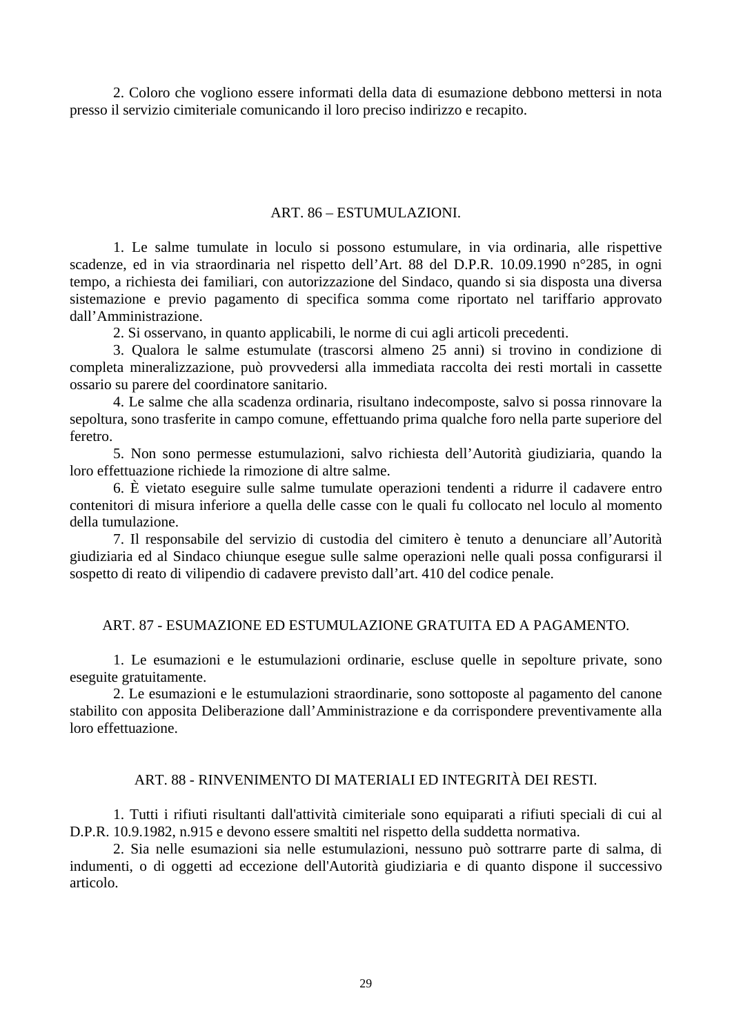<span id="page-28-0"></span> 2. Coloro che vogliono essere informati della data di esumazione debbono mettersi in nota presso il servizio cimiteriale comunicando il loro preciso indirizzo e recapito.

#### ART. 86 – ESTUMULAZIONI.

 1. Le salme tumulate in loculo si possono estumulare, in via ordinaria, alle rispettive scadenze, ed in via straordinaria nel rispetto dell'Art. 88 del D.P.R. 10.09.1990 n°285, in ogni tempo, a richiesta dei familiari, con autorizzazione del Sindaco, quando si sia disposta una diversa sistemazione e previo pagamento di specifica somma come riportato nel tariffario approvato dall'Amministrazione.

2. Si osservano, in quanto applicabili, le norme di cui agli articoli precedenti.

 3. Qualora le salme estumulate (trascorsi almeno 25 anni) si trovino in condizione di completa mineralizzazione, può provvedersi alla immediata raccolta dei resti mortali in cassette ossario su parere del coordinatore sanitario.

 4. Le salme che alla scadenza ordinaria, risultano indecomposte, salvo si possa rinnovare la sepoltura, sono trasferite in campo comune, effettuando prima qualche foro nella parte superiore del feretro.

 5. Non sono permesse estumulazioni, salvo richiesta dell'Autorità giudiziaria, quando la loro effettuazione richiede la rimozione di altre salme.

 6. È vietato eseguire sulle salme tumulate operazioni tendenti a ridurre il cadavere entro contenitori di misura inferiore a quella delle casse con le quali fu collocato nel loculo al momento della tumulazione.

 7. Il responsabile del servizio di custodia del cimitero è tenuto a denunciare all'Autorità giudiziaria ed al Sindaco chiunque esegue sulle salme operazioni nelle quali possa configurarsi il sospetto di reato di vilipendio di cadavere previsto dall'art. 410 del codice penale.

#### ART. 87 - ESUMAZIONE ED ESTUMULAZIONE GRATUITA ED A PAGAMENTO.

 1. Le esumazioni e le estumulazioni ordinarie, escluse quelle in sepolture private, sono eseguite gratuitamente.

 2. Le esumazioni e le estumulazioni straordinarie, sono sottoposte al pagamento del canone stabilito con apposita Deliberazione dall'Amministrazione e da corrispondere preventivamente alla loro effettuazione.

### ART. 88 - RINVENIMENTO DI MATERIALI ED INTEGRITÀ DEI RESTI.

 1. Tutti i rifiuti risultanti dall'attività cimiteriale sono equiparati a rifiuti speciali di cui al D.P.R. 10.9.1982, n.915 e devono essere smaltiti nel rispetto della suddetta normativa.

 2. Sia nelle esumazioni sia nelle estumulazioni, nessuno può sottrarre parte di salma, di indumenti, o di oggetti ad eccezione dell'Autorità giudiziaria e di quanto dispone il successivo articolo.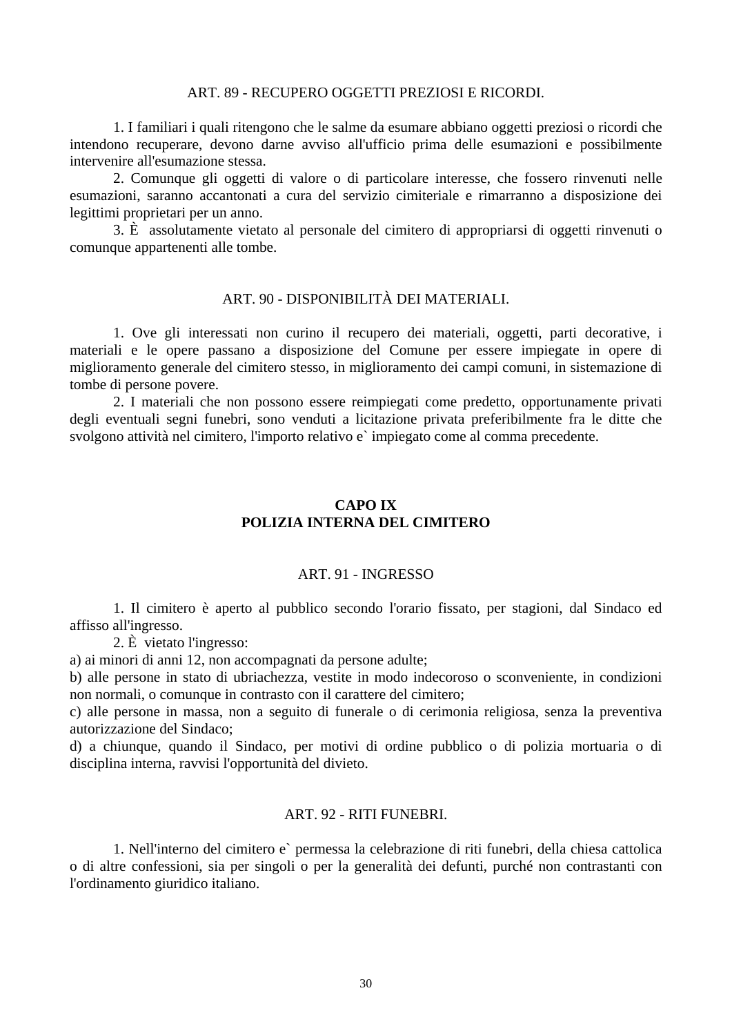#### ART. 89 - RECUPERO OGGETTI PREZIOSI E RICORDI.

<span id="page-29-0"></span> 1. I familiari i quali ritengono che le salme da esumare abbiano oggetti preziosi o ricordi che intendono recuperare, devono darne avviso all'ufficio prima delle esumazioni e possibilmente intervenire all'esumazione stessa.

 2. Comunque gli oggetti di valore o di particolare interesse, che fossero rinvenuti nelle esumazioni, saranno accantonati a cura del servizio cimiteriale e rimarranno a disposizione dei legittimi proprietari per un anno.

 3. È assolutamente vietato al personale del cimitero di appropriarsi di oggetti rinvenuti o comunque appartenenti alle tombe.

### ART. 90 - DISPONIBILITÀ DEI MATERIALI.

 1. Ove gli interessati non curino il recupero dei materiali, oggetti, parti decorative, i materiali e le opere passano a disposizione del Comune per essere impiegate in opere di miglioramento generale del cimitero stesso, in miglioramento dei campi comuni, in sistemazione di tombe di persone povere.

 2. I materiali che non possono essere reimpiegati come predetto, opportunamente privati degli eventuali segni funebri, sono venduti a licitazione privata preferibilmente fra le ditte che svolgono attività nel cimitero, l'importo relativo e` impiegato come al comma precedente.

## **CAPO IX POLIZIA INTERNA DEL CIMITERO**

### ART. 91 - INGRESSO

 1. Il cimitero è aperto al pubblico secondo l'orario fissato, per stagioni, dal Sindaco ed affisso all'ingresso.

2. È vietato l'ingresso:

a) ai minori di anni 12, non accompagnati da persone adulte;

b) alle persone in stato di ubriachezza, vestite in modo indecoroso o sconveniente, in condizioni non normali, o comunque in contrasto con il carattere del cimitero;

c) alle persone in massa, non a seguito di funerale o di cerimonia religiosa, senza la preventiva autorizzazione del Sindaco;

d) a chiunque, quando il Sindaco, per motivi di ordine pubblico o di polizia mortuaria o di disciplina interna, ravvisi l'opportunità del divieto.

### ART. 92 - RITI FUNEBRI.

 1. Nell'interno del cimitero e` permessa la celebrazione di riti funebri, della chiesa cattolica o di altre confessioni, sia per singoli o per la generalità dei defunti, purché non contrastanti con l'ordinamento giuridico italiano.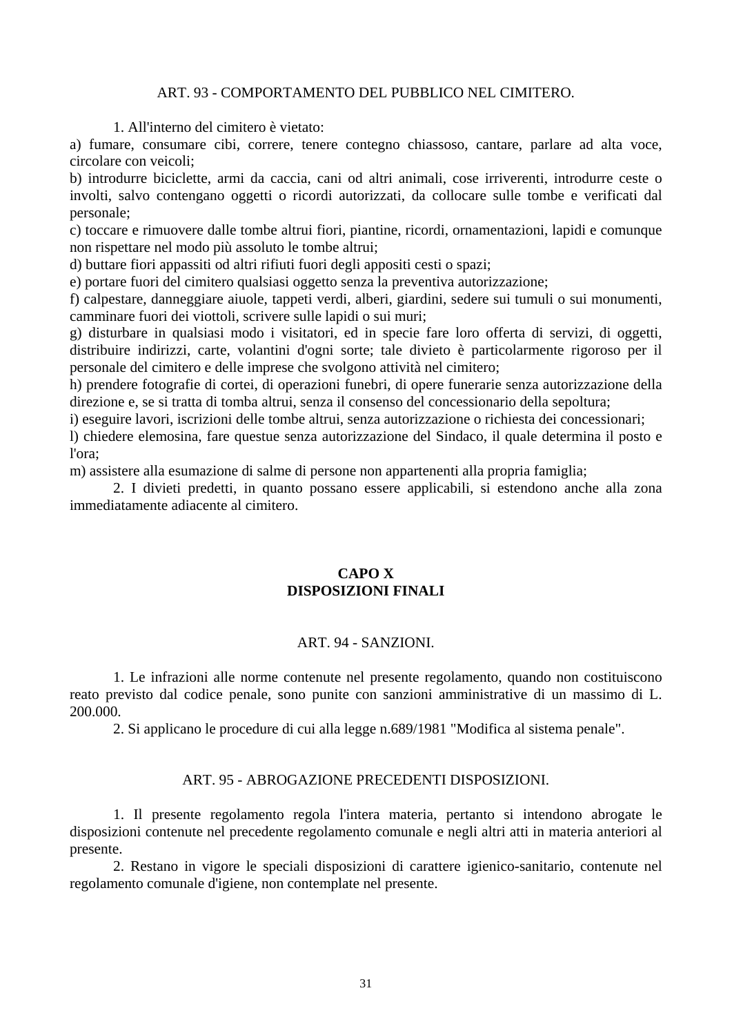#### ART. 93 - COMPORTAMENTO DEL PUBBLICO NEL CIMITERO.

1. All'interno del cimitero è vietato:

<span id="page-30-0"></span>a) fumare, consumare cibi, correre, tenere contegno chiassoso, cantare, parlare ad alta voce, circolare con veicoli;

b) introdurre biciclette, armi da caccia, cani od altri animali, cose irriverenti, introdurre ceste o involti, salvo contengano oggetti o ricordi autorizzati, da collocare sulle tombe e verificati dal personale;

c) toccare e rimuovere dalle tombe altrui fiori, piantine, ricordi, ornamentazioni, lapidi e comunque non rispettare nel modo più assoluto le tombe altrui;

d) buttare fiori appassiti od altri rifiuti fuori degli appositi cesti o spazi;

e) portare fuori del cimitero qualsiasi oggetto senza la preventiva autorizzazione;

f) calpestare, danneggiare aiuole, tappeti verdi, alberi, giardini, sedere sui tumuli o sui monumenti, camminare fuori dei viottoli, scrivere sulle lapidi o sui muri;

g) disturbare in qualsiasi modo i visitatori, ed in specie fare loro offerta di servizi, di oggetti, distribuire indirizzi, carte, volantini d'ogni sorte; tale divieto è particolarmente rigoroso per il personale del cimitero e delle imprese che svolgono attività nel cimitero;

h) prendere fotografie di cortei, di operazioni funebri, di opere funerarie senza autorizzazione della direzione e, se si tratta di tomba altrui, senza il consenso del concessionario della sepoltura;

i) eseguire lavori, iscrizioni delle tombe altrui, senza autorizzazione o richiesta dei concessionari;

l) chiedere elemosina, fare questue senza autorizzazione del Sindaco, il quale determina il posto e l'ora;

m) assistere alla esumazione di salme di persone non appartenenti alla propria famiglia;

 2. I divieti predetti, in quanto possano essere applicabili, si estendono anche alla zona immediatamente adiacente al cimitero.

## **CAPO X DISPOSIZIONI FINALI**

### ART. 94 - SANZIONI.

 1. Le infrazioni alle norme contenute nel presente regolamento, quando non costituiscono reato previsto dal codice penale, sono punite con sanzioni amministrative di un massimo di L. 200.000.

2. Si applicano le procedure di cui alla legge n.689/1981 "Modifica al sistema penale".

#### ART. 95 - ABROGAZIONE PRECEDENTI DISPOSIZIONI.

 1. Il presente regolamento regola l'intera materia, pertanto si intendono abrogate le disposizioni contenute nel precedente regolamento comunale e negli altri atti in materia anteriori al presente.

 2. Restano in vigore le speciali disposizioni di carattere igienico-sanitario, contenute nel regolamento comunale d'igiene, non contemplate nel presente.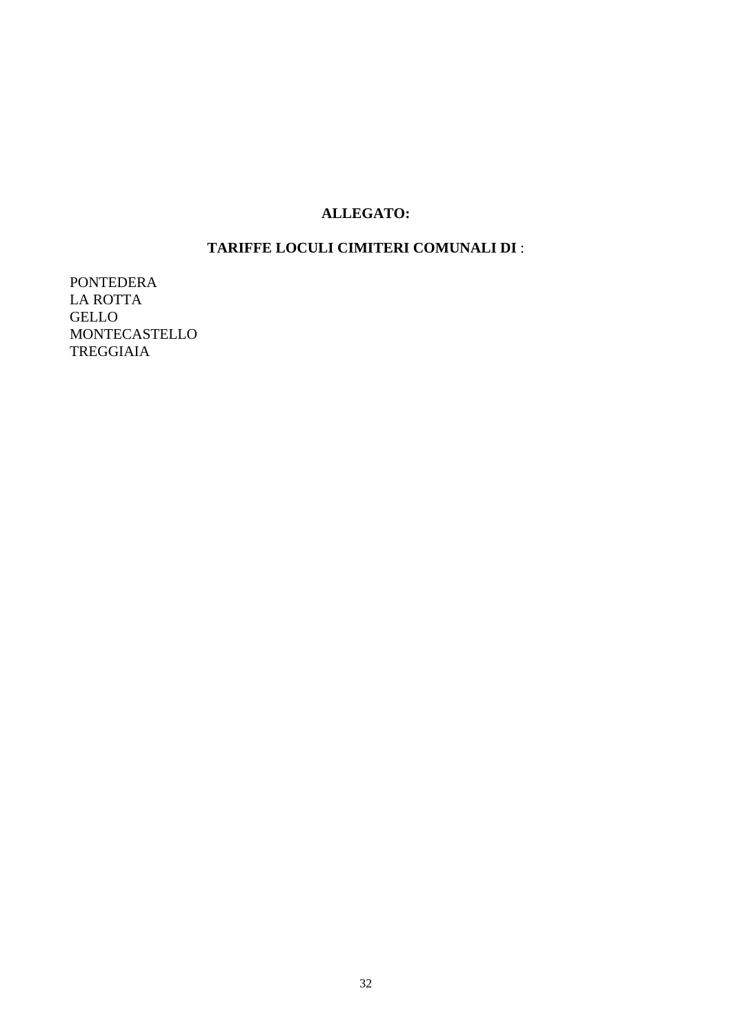# **ALLEGATO:**

# **TARIFFE LOCULI CIMITERI COMUNALI DI** :

<span id="page-31-0"></span>PONTEDERA LA ROTTA GELLO MONTECASTELLO TREGGIAIA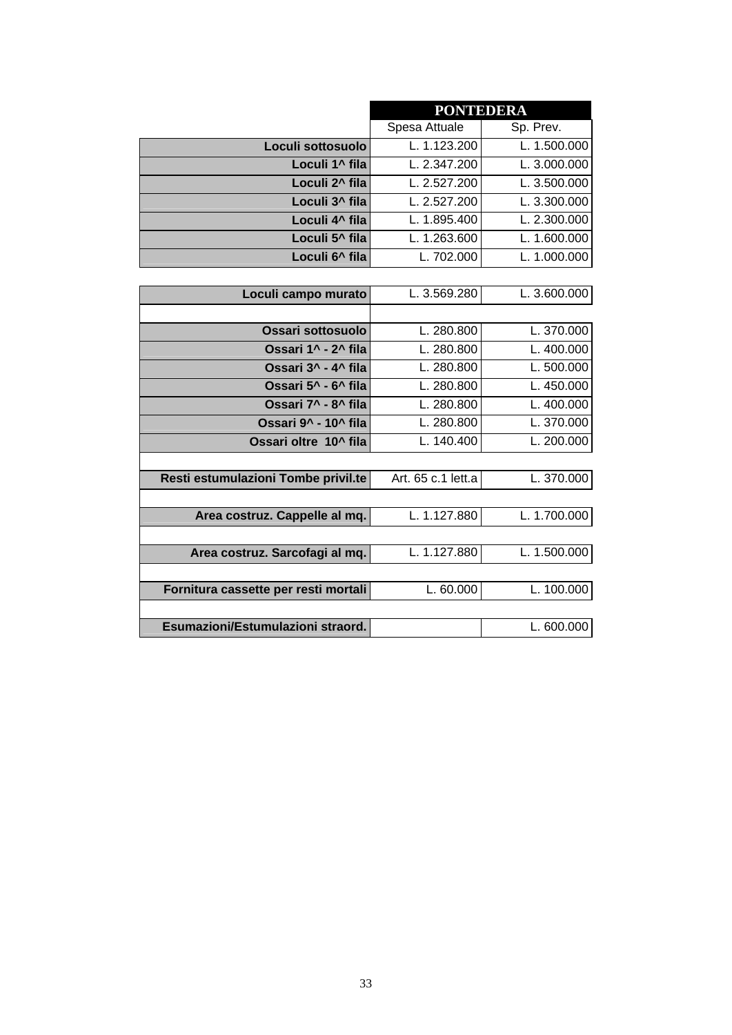<span id="page-32-0"></span>

|                                      | <b>PONTEDERA</b>   |              |  |
|--------------------------------------|--------------------|--------------|--|
|                                      | Spesa Attuale      | Sp. Prev.    |  |
| Loculi sottosuolo                    | L. 1.123.200       | L. 1.500.000 |  |
| Loculi 1 <sup>^</sup> fila           | L. 2.347.200       | L. 3.000.000 |  |
| Loculi 2^ fila                       | L. 2.527.200       | L. 3.500.000 |  |
| Loculi 3 <sup>^</sup> fila           | L. 2.527.200       | L. 3.300.000 |  |
| Loculi 4^ fila                       | L. 1.895.400       | L. 2.300.000 |  |
| Loculi 5 <sup>^</sup> fila           | L. 1.263.600       | L. 1.600.000 |  |
| Loculi 6 <sup>^</sup> fila           | L. 702.000         | L. 1.000.000 |  |
|                                      |                    |              |  |
| Loculi campo murato                  | L. 3.569.280       | L. 3.600.000 |  |
|                                      |                    |              |  |
| <b>Ossari sottosuolo</b>             | L. 280.800         | L. 370.000   |  |
| Ossari 1^ - 2^ fila                  | L. 280.800         | L. 400.000   |  |
| Ossari 3^ - 4^ fila                  | L. 280.800         | L. 500.000   |  |
| Ossari 5^ - 6^ fila                  | L. 280.800         | L. 450.000   |  |
| Ossari 7^ - 8^ fila                  | L. 280.800         | L. 400.000   |  |
| Ossari 9^ - 10^ fila                 | L. 280.800         | L. 370.000   |  |
| Ossari oltre 10^ fila                | L. 140.400         | L. 200.000   |  |
|                                      |                    |              |  |
| Resti estumulazioni Tombe privil.te  | Art. 65 c.1 lett.a | L. 370.000   |  |
|                                      |                    |              |  |
| Area costruz. Cappelle al mq.        | L. 1.127.880       | L. 1.700.000 |  |
|                                      |                    |              |  |
| Area costruz. Sarcofagi al mq.       | L. 1.127.880       | L. 1.500.000 |  |
|                                      |                    |              |  |
| Fornitura cassette per resti mortali | L. 60.000          | L. 100.000   |  |
|                                      |                    |              |  |
| Esumazioni/Estumulazioni straord.    |                    | L. 600.000   |  |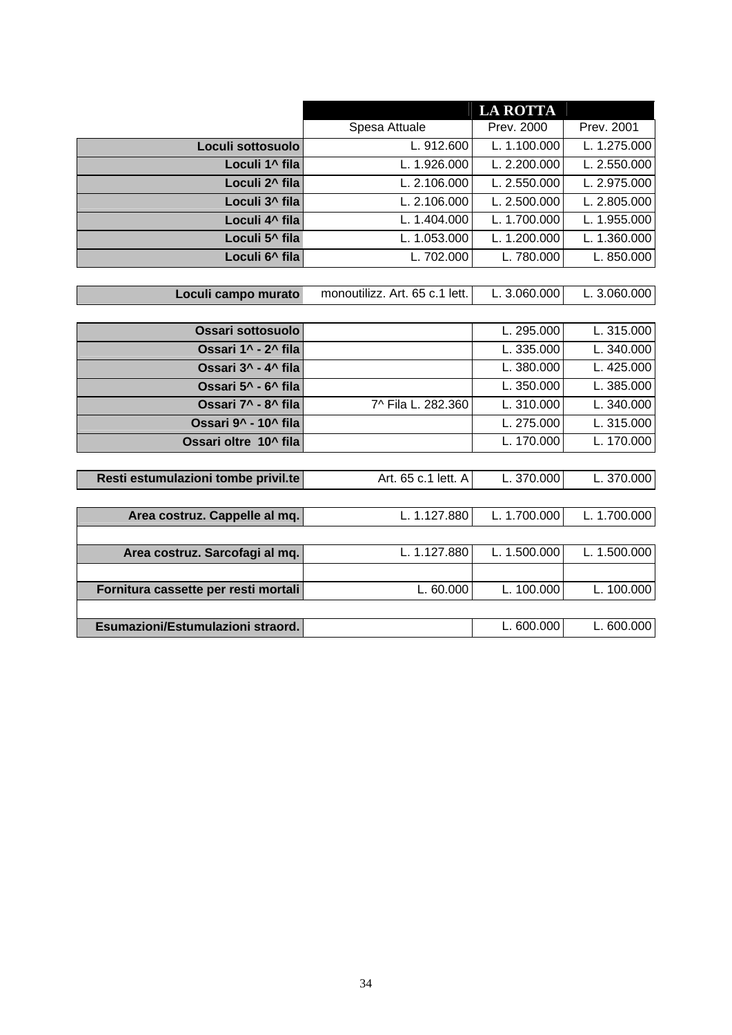<span id="page-33-0"></span>

|                                      | <b>LA ROTTA</b>                |              |              |  |
|--------------------------------------|--------------------------------|--------------|--------------|--|
|                                      | Spesa Attuale                  | Prev. 2000   | Prev. 2001   |  |
| Loculi sottosuolo                    | L. 912.600                     | L. 1.100.000 | L. 1.275.000 |  |
| Loculi 1^ fila                       | L. 1.926.000                   | L. 2.200.000 | L. 2.550.000 |  |
| Loculi 2 <sup>^</sup> fila           | L. 2.106.000                   | L. 2.550.000 | L. 2.975.000 |  |
| Loculi 3 <sup>^</sup> fila           | L. 2.106.000                   | L. 2.500.000 | L. 2.805.000 |  |
| Loculi 4^ fila                       | L. 1.404.000                   | L. 1.700.000 | L. 1.955.000 |  |
| Loculi 5 <sup>^</sup> fila           | L. 1.053.000                   | L. 1.200.000 | L. 1.360.000 |  |
| Loculi 6^ fila                       | L. 702.000                     | L. 780.000   | L. 850.000   |  |
|                                      |                                |              |              |  |
| Loculi campo murato                  | monoutilizz. Art. 65 c.1 lett. | L. 3.060.000 | L. 3.060.000 |  |
|                                      |                                |              |              |  |
| Ossari sottosuolo                    |                                | L. 295.000   | L. 315.000   |  |
| Ossari 1^ - 2^ fila                  |                                | L. 335.000   | L. 340.000   |  |
| Ossari 3^ - 4^ fila                  |                                | L. 380.000   | L. 425.000   |  |
| Ossari 5^ - 6^ fila                  |                                | L. 350.000   | L. 385.000   |  |
| Ossari 7^ - 8^ fila                  | 7^ Fila L. 282.360             | L. 310.000   | L. 340.000   |  |
| Ossari 9^ - 10^ fila                 |                                | L. 275.000   | L. 315.000   |  |
| Ossari oltre 10^ fila                |                                | L. 170.000   | L. 170.000   |  |
|                                      |                                |              |              |  |
| Resti estumulazioni tombe privil.te  | Art. 65 c.1 lett. A            | L. 370.000   | L. 370.000   |  |
|                                      |                                |              |              |  |
| Area costruz. Cappelle al mq.        | L. 1.127.880                   | L. 1.700.000 | L. 1.700.000 |  |
|                                      |                                |              |              |  |
| Area costruz. Sarcofagi al mq.       | L. 1.127.880                   | L. 1.500.000 | L. 1.500.000 |  |
|                                      |                                |              |              |  |
| Fornitura cassette per resti mortali | L. 60.000                      | L. 100.000   | L. 100.000   |  |
|                                      |                                |              |              |  |
| Esumazioni/Estumulazioni straord.    |                                | L. 600.000   | L. 600.000   |  |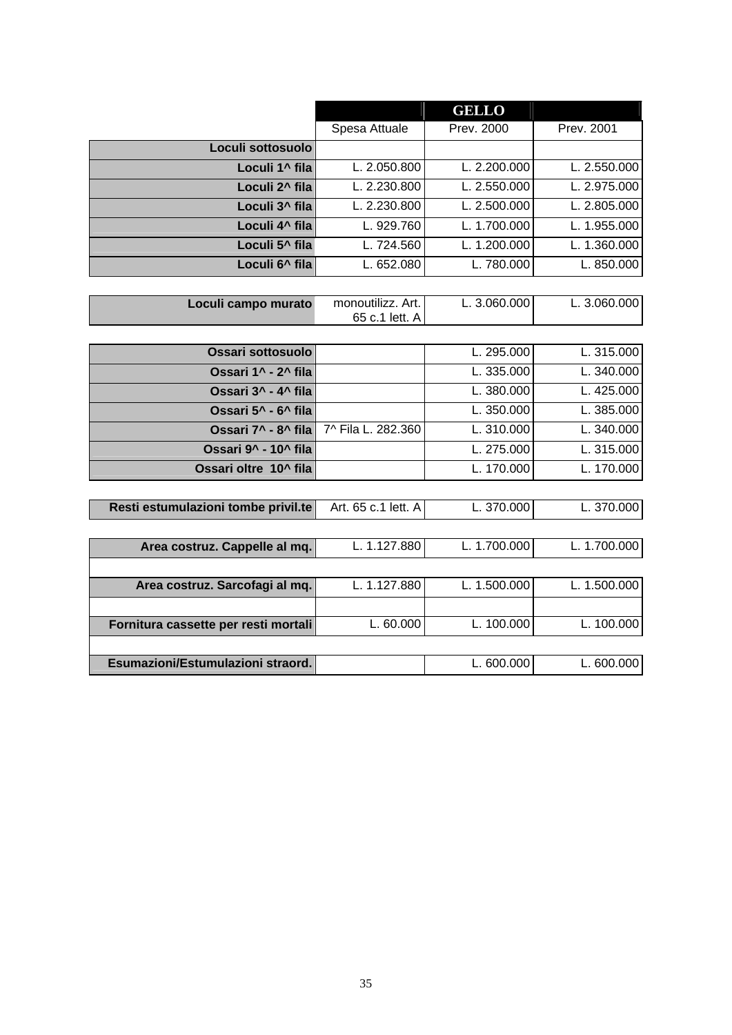<span id="page-34-0"></span>

|                                      |                                     | <b>GELLO</b> |              |
|--------------------------------------|-------------------------------------|--------------|--------------|
|                                      | Spesa Attuale                       | Prev. 2000   | Prev. 2001   |
| Loculi sottosuolo                    |                                     |              |              |
| Loculi 1^ fila                       | L. 2.050.800                        | L. 2.200.000 | L. 2.550.000 |
| Loculi 2^ fila                       | L. 2.230.800                        | L. 2.550.000 | L. 2.975.000 |
| Loculi 3 <sup>^</sup> fila           | L. 2.230.800                        | L. 2.500.000 | L. 2.805.000 |
| Loculi 4^ fila                       | L. 929.760                          | L. 1.700.000 | L. 1.955.000 |
| Loculi 5 <sup>^</sup> fila           | L. 724.560                          | L. 1.200.000 | L. 1.360.000 |
| Loculi 6 <sup>^</sup> fila           | L. 652.080                          | L. 780.000   | L. 850.000   |
|                                      |                                     |              |              |
| Loculi campo murato                  | monoutilizz. Art.<br>65 c.1 lett. A | L. 3.060.000 | L. 3.060.000 |
|                                      |                                     |              |              |
| <b>Ossari sottosuolo</b>             |                                     | L. 295.000   | L. 315.000   |
| Ossari 1^ - 2^ fila                  |                                     | L. 335.000   | L. 340.000   |
| Ossari 3^ - 4^ fila                  |                                     | L. 380.000   | L. 425.000   |
| Ossari 5^ - 6^ fila                  |                                     | L. 350.000   | L. 385.000   |
| Ossari 7^ - 8^ fila                  | 7^ Fila L. 282.360                  | L. 310.000   | L. 340.000   |
| Ossari 9^ - 10^ fila                 |                                     | L. 275.000   | L. 315.000   |
| Ossari oltre 10^ fila                |                                     | L. 170.000   | L. 170.000   |
|                                      |                                     |              |              |
| Resti estumulazioni tombe privil.te  | Art. 65 c.1 lett. A                 | L. 370.000   | L. 370.000   |
|                                      |                                     |              |              |
| Area costruz. Cappelle al mq.        | L. 1.127.880                        | L. 1.700.000 | L. 1.700.000 |
|                                      |                                     |              |              |
| Area costruz. Sarcofagi al mq.       | L. 1.127.880                        | L. 1.500.000 | L. 1.500.000 |
|                                      |                                     |              |              |
| Fornitura cassette per resti mortali | L. 60.000                           | L. 100.000   | L. 100.000   |
|                                      |                                     |              |              |
| Esumazioni/Estumulazioni straord.    |                                     | L. 600.000   | L. 600.000   |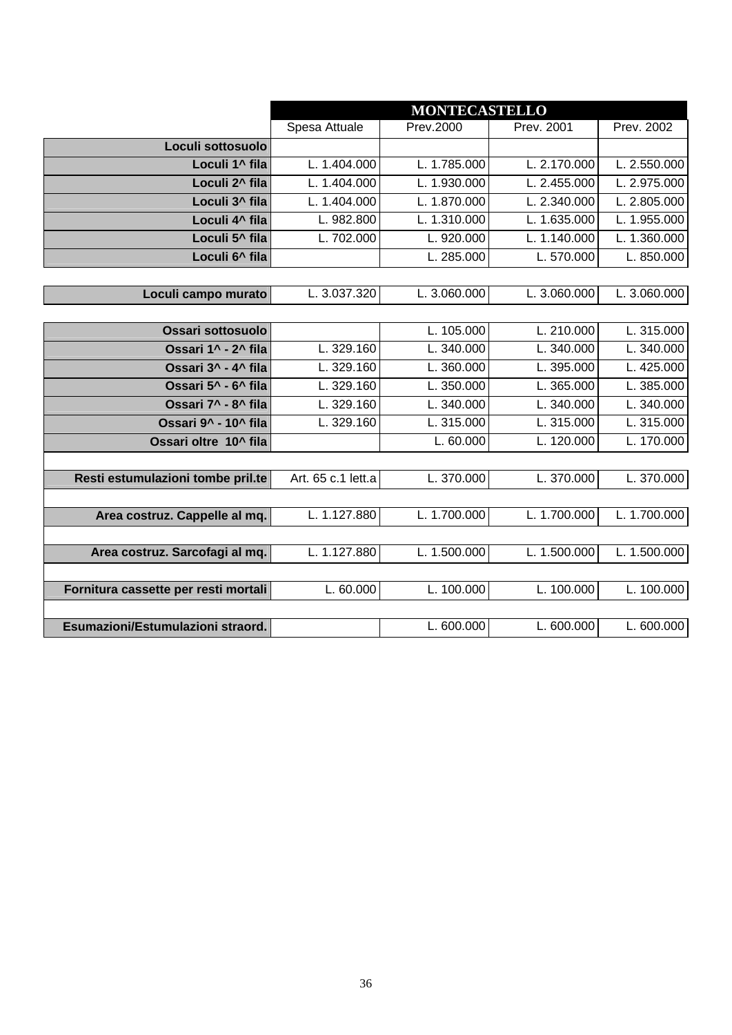<span id="page-35-0"></span>

|                                      | <b>MONTECASTELLO</b> |              |              |                |
|--------------------------------------|----------------------|--------------|--------------|----------------|
|                                      | Spesa Attuale        | Prev.2000    | Prev. 2001   | Prev. 2002     |
| Loculi sottosuolo                    |                      |              |              |                |
| Loculi 1^ fila                       | L. 1.404.000         | L. 1.785.000 | L. 2.170.000 | L. 2.550.000   |
| Loculi 2^ fila                       | L. 1.404.000         | L. 1.930.000 | L. 2.455.000 | L. 2.975.000   |
| Loculi 3 <sup>^</sup> fila           | L. 1.404.000         | L. 1.870.000 | L. 2.340.000 | L. 2.805.000   |
| Loculi 4^ fila                       | L. 982.800           | L. 1.310.000 | L. 1.635.000 | L. 1.955.000   |
| Loculi 5 <sup>^</sup> fila           | L. 702.000           | L. 920.000   | L. 1.140.000 | L. 1.360.000   |
| Loculi 6^ fila                       |                      | L. 285.000   | L.570.000    | L. 850.000     |
|                                      |                      |              |              |                |
| Loculi campo murato                  | L. 3.037.320         | L. 3.060.000 | L. 3.060.000 | L. $3.060.000$ |
|                                      |                      |              |              |                |
| Ossari sottosuolo                    |                      | L. 105.000   | L. 210.000   | L. 315.000     |
| Ossari 1^ - 2^ fila                  | L. 329.160           | L. 340.000   | L. 340.000   | L. 340.000     |
| Ossari 3^ - 4^ fila                  | L. 329.160           | L. 360.000   | L. 395.000   | L. 425.000     |
| Ossari 5^ - 6^ fila                  | L. 329.160           | L. 350.000   | L. 365.000   | L. 385.000     |
| Ossari 7^ - 8^ fila                  | L. 329.160           | L. 340.000   | L. 340.000   | L. 340.000     |
| Ossari 9^ - 10^ fila                 | L. 329.160           | L. 315.000   | L. 315.000   | L. 315.000     |
| Ossari oltre 10^ fila                |                      | L. 60.000    | L. 120.000   | L. 170.000     |
|                                      |                      |              |              |                |
| Resti estumulazioni tombe pril.te    | Art. 65 c.1 lett.a   | L. 370.000   | L. 370.000   | L. 370.000     |
|                                      |                      |              |              |                |
| Area costruz. Cappelle al mq.        | L. 1.127.880         | L. 1.700.000 | L. 1.700.000 | L. 1.700.000   |
|                                      |                      |              |              |                |
| Area costruz. Sarcofagi al mq.       | L. 1.127.880         | L. 1.500.000 | L. 1.500.000 | L. $1.500.000$ |
|                                      |                      |              |              |                |
| Fornitura cassette per resti mortali | L.60.000             | L. 100.000   | L. 100.000   | L. 100.000     |
|                                      |                      |              |              |                |
| Esumazioni/Estumulazioni straord.    |                      | L. 600.000   | L. 600.000   | L.600.000      |